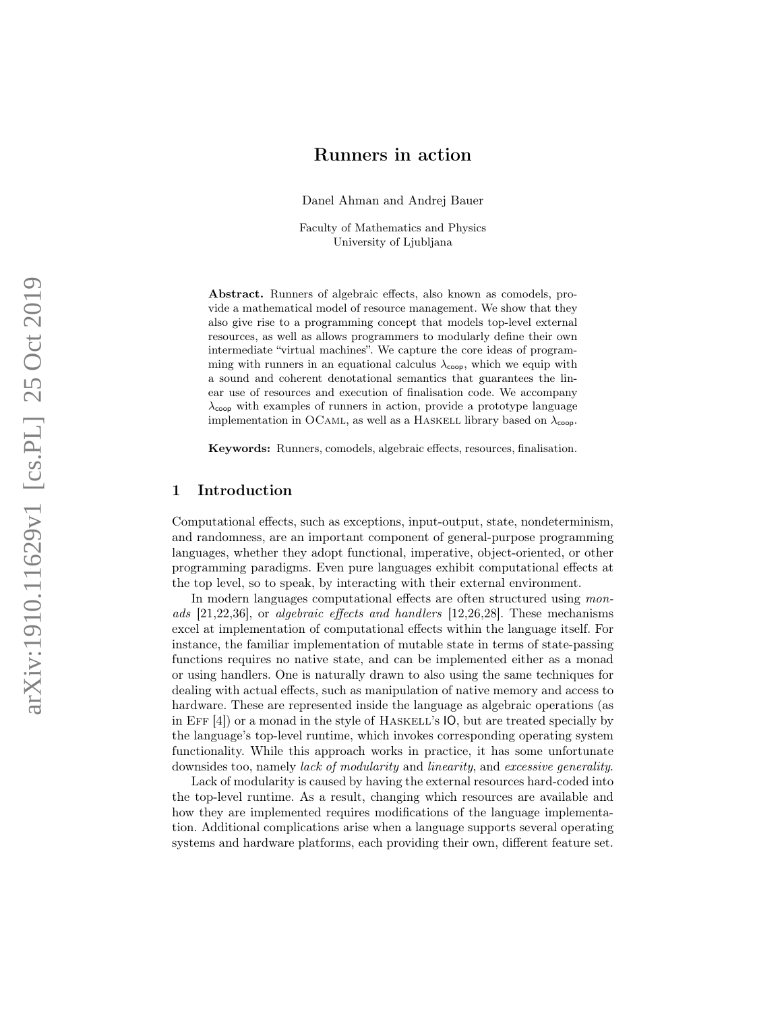# Runners in action

Danel Ahman and Andrej Bauer

Faculty of Mathematics and Physics University of Ljubljana

Abstract. Runners of algebraic effects, also known as comodels, provide a mathematical model of resource management. We show that they also give rise to a programming concept that models top-level external resources, as well as allows programmers to modularly define their own intermediate "virtual machines". We capture the core ideas of programming with runners in an equational calculus  $\lambda_{\text{coop}}$ , which we equip with a sound and coherent denotational semantics that guarantees the linear use of resources and execution of finalisation code. We accompany  $\lambda_{\rm coop}$  with examples of runners in action, provide a prototype language implementation in OCAML, as well as a HASKELL library based on  $\lambda_{\text{coop}}$ .

Keywords: Runners, comodels, algebraic effects, resources, finalisation.

## 1 Introduction

Computational effects, such as exceptions, input-output, state, nondeterminism, and randomness, are an important component of general-purpose programming languages, whether they adopt functional, imperative, object-oriented, or other programming paradigms. Even pure languages exhibit computational effects at the top level, so to speak, by interacting with their external environment.

In modern languages computational effects are often structured using monads [\[21,](#page-26-0)[22,](#page-26-1)[36\]](#page-27-0), or algebraic effects and handlers [\[12](#page-25-0)[,26](#page-26-2)[,28\]](#page-26-3). These mechanisms excel at implementation of computational effects within the language itself. For instance, the familiar implementation of mutable state in terms of state-passing functions requires no native state, and can be implemented either as a monad or using handlers. One is naturally drawn to also using the same techniques for dealing with actual effects, such as manipulation of native memory and access to hardware. These are represented inside the language as algebraic operations (as in EFF  $[4]$ ) or a monad in the style of HASKELL's  $[0, \text{ but are treated specially by}$ the language's top-level runtime, which invokes corresponding operating system functionality. While this approach works in practice, it has some unfortunate downsides too, namely *lack of modularity* and *linearity*, and *excessive generality*.

Lack of modularity is caused by having the external resources hard-coded into the top-level runtime. As a result, changing which resources are available and how they are implemented requires modifications of the language implementation. Additional complications arise when a language supports several operating systems and hardware platforms, each providing their own, different feature set.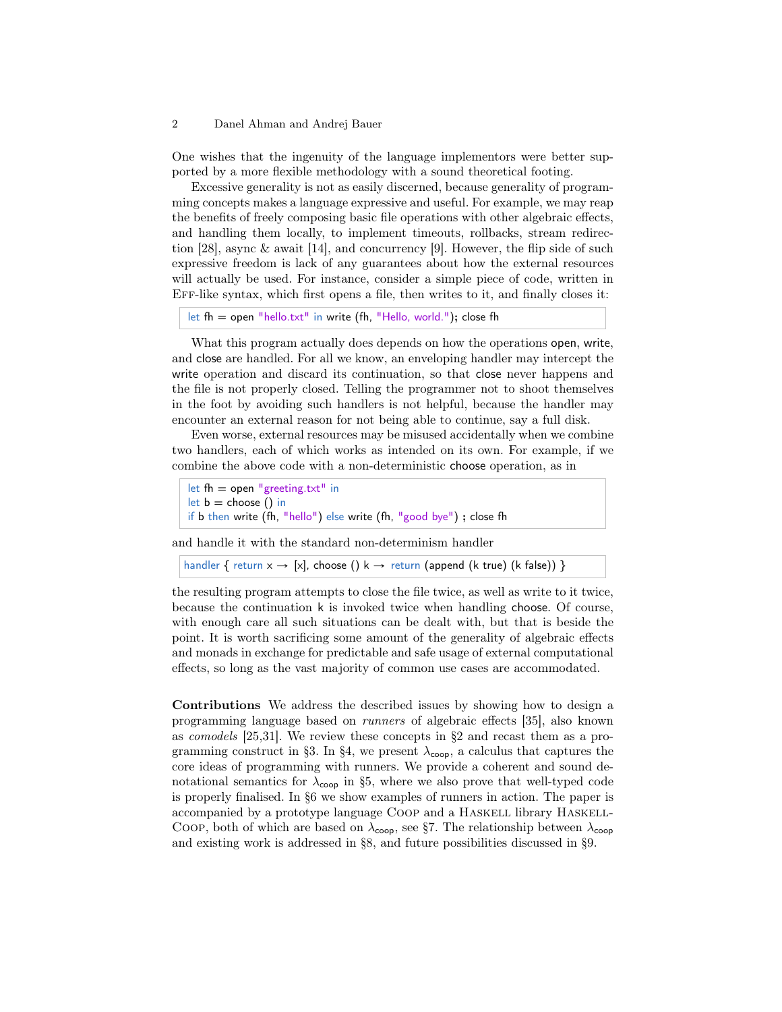One wishes that the ingenuity of the language implementors were better supported by a more flexible methodology with a sound theoretical footing.

Excessive generality is not as easily discerned, because generality of programming concepts makes a language expressive and useful. For example, we may reap the benefits of freely composing basic file operations with other algebraic effects, and handling them locally, to implement timeouts, rollbacks, stream redirec-tion [\[28\]](#page-26-3), async  $\&$  await [\[14\]](#page-26-4), and concurrency [\[9\]](#page-25-2). However, the flip side of such expressive freedom is lack of any guarantees about how the external resources will actually be used. For instance, consider a simple piece of code, written in Eff-like syntax, which first opens a file, then writes to it, and finally closes it:

```
let fh = open "hello.txt" in write (fh, "Hello, world."); close fh
```
What this program actually does depends on how the operations open, write, and close are handled. For all we know, an enveloping handler may intercept the write operation and discard its continuation, so that close never happens and the file is not properly closed. Telling the programmer not to shoot themselves in the foot by avoiding such handlers is not helpful, because the handler may encounter an external reason for not being able to continue, say a full disk.

Even worse, external resources may be misused accidentally when we combine two handlers, each of which works as intended on its own. For example, if we combine the above code with a non-deterministic choose operation, as in

```
let fh = open "greeting.txt" in
let b = choose () inif b then write (fh, "hello") else write (fh, "good bye") ; close fh
```
and handle it with the standard non-determinism handler

handler { return  $x \rightarrow [x]$ , choose () k  $\rightarrow$  return (append (k true) (k false)) }

the resulting program attempts to close the file twice, as well as write to it twice, because the continuation k is invoked twice when handling choose. Of course, with enough care all such situations can be dealt with, but that is beside the point. It is worth sacrificing some amount of the generality of algebraic effects and monads in exchange for predictable and safe usage of external computational effects, so long as the vast majority of common use cases are accommodated.

Contributions We address the described issues by showing how to design a programming language based on runners of algebraic effects [\[35\]](#page-27-1), also known as comodels [\[25,](#page-26-5)[31\]](#page-26-6). We review these concepts in [§2](#page-2-0) and recast them as a pro-gramming construct in [§3.](#page-6-0) In [§4,](#page-9-0) we present  $\lambda_{\text{coop}}$ , a calculus that captures the core ideas of programming with runners. We provide a coherent and sound denotational semantics for  $\lambda_{\text{coop}}$  in [§5,](#page-15-0) where we also prove that well-typed code is properly finalised. In [§6](#page-20-0) we show examples of runners in action. The paper is accompanied by a prototype language Coop and a Haskell library Haskell-COOP, both of which are based on  $\lambda_{\text{coop}}$ , see [§7.](#page-23-0) The relationship between  $\lambda_{\text{coop}}$ and existing work is addressed in [§8,](#page-23-1) and future possibilities discussed in [§9.](#page-24-0)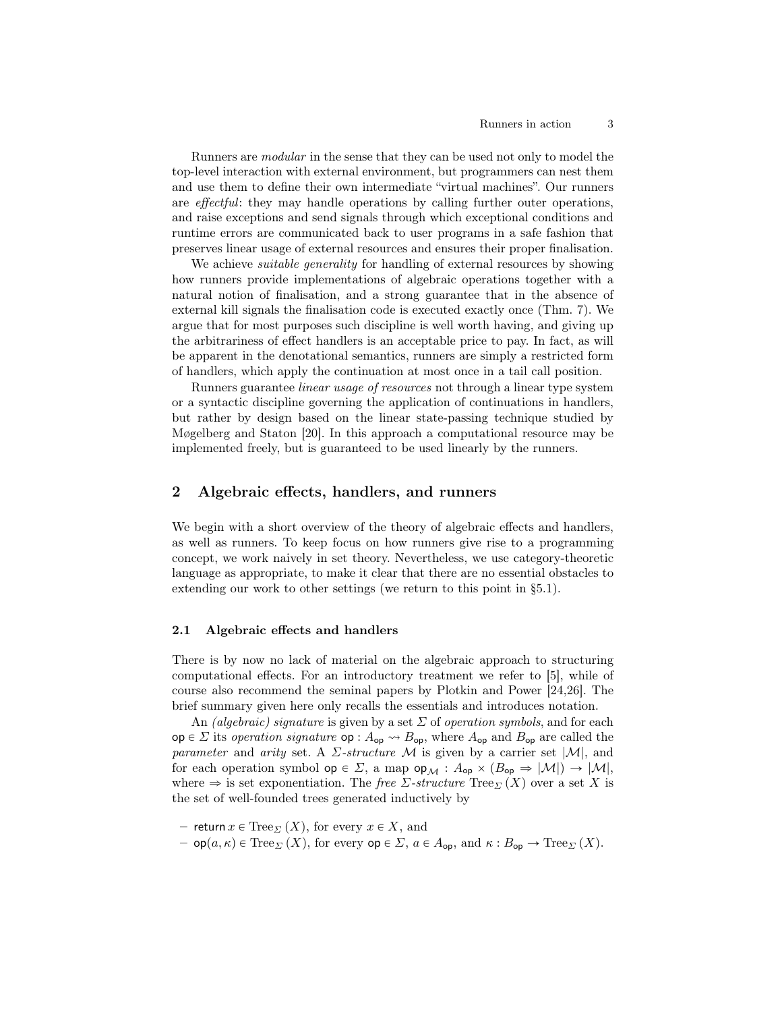Runners are modular in the sense that they can be used not only to model the top-level interaction with external environment, but programmers can nest them and use them to define their own intermediate "virtual machines". Our runners are *effectful*: they may handle operations by calling further outer operations, and raise exceptions and send signals through which exceptional conditions and runtime errors are communicated back to user programs in a safe fashion that preserves linear usage of external resources and ensures their proper finalisation.

We achieve *suitable generality* for handling of external resources by showing how runners provide implementations of algebraic operations together with a natural notion of finalisation, and a strong guarantee that in the absence of external kill signals the finalisation code is executed exactly once (Thm. [7\)](#page-20-1). We argue that for most purposes such discipline is well worth having, and giving up the arbitrariness of effect handlers is an acceptable price to pay. In fact, as will be apparent in the denotational semantics, runners are simply a restricted form of handlers, which apply the continuation at most once in a tail call position.

Runners guarantee linear usage of resources not through a linear type system or a syntactic discipline governing the application of continuations in handlers, but rather by design based on the linear state-passing technique studied by Møgelberg and Staton [\[20\]](#page-26-7). In this approach a computational resource may be implemented freely, but is guaranteed to be used linearly by the runners.

# <span id="page-2-0"></span>2 Algebraic effects, handlers, and runners

We begin with a short overview of the theory of algebraic effects and handlers, as well as runners. To keep focus on how runners give rise to a programming concept, we work naively in set theory. Nevertheless, we use category-theoretic language as appropriate, to make it clear that there are no essential obstacles to extending our work to other settings (we return to this point in [§5.1\)](#page-15-1).

## 2.1 Algebraic effects and handlers

There is by now no lack of material on the algebraic approach to structuring computational effects. For an introductory treatment we refer to [\[5\]](#page-25-3), while of course also recommend the seminal papers by Plotkin and Power [\[24,](#page-26-8)[26\]](#page-26-2). The brief summary given here only recalls the essentials and introduces notation.

An (algebraic) signature is given by a set  $\Sigma$  of operation symbols, and for each op  $\in \Sigma$  its *operation signature* op :  $A_{op} \leadsto B_{op}$ , where  $A_{op}$  and  $B_{op}$  are called the parameter and arity set. A  $\Sigma$ -structure M is given by a carrier set  $|\mathcal{M}|$ , and for each operation symbol  $op \in \Sigma$ , a map  $op_{\mathcal{M}} : A_{op} \times (B_{op} \Rightarrow |\mathcal{M}|) \rightarrow |\mathcal{M}|$ , where  $\Rightarrow$  is set exponentiation. The free  $\Sigma$ -structure Tree  $\Sigma(X)$  over a set X is the set of well-founded trees generated inductively by

- return  $x \in \text{Tree}_{\Sigma}(X)$ , for every  $x \in X$ , and
- $-$  op $(a, \kappa) \in \text{Tree}_{\Sigma}(X)$ , for every op  $\in \Sigma$ ,  $a \in A_{op}$ , and  $\kappa : B_{op} \to \text{Tree}_{\Sigma}(X)$ .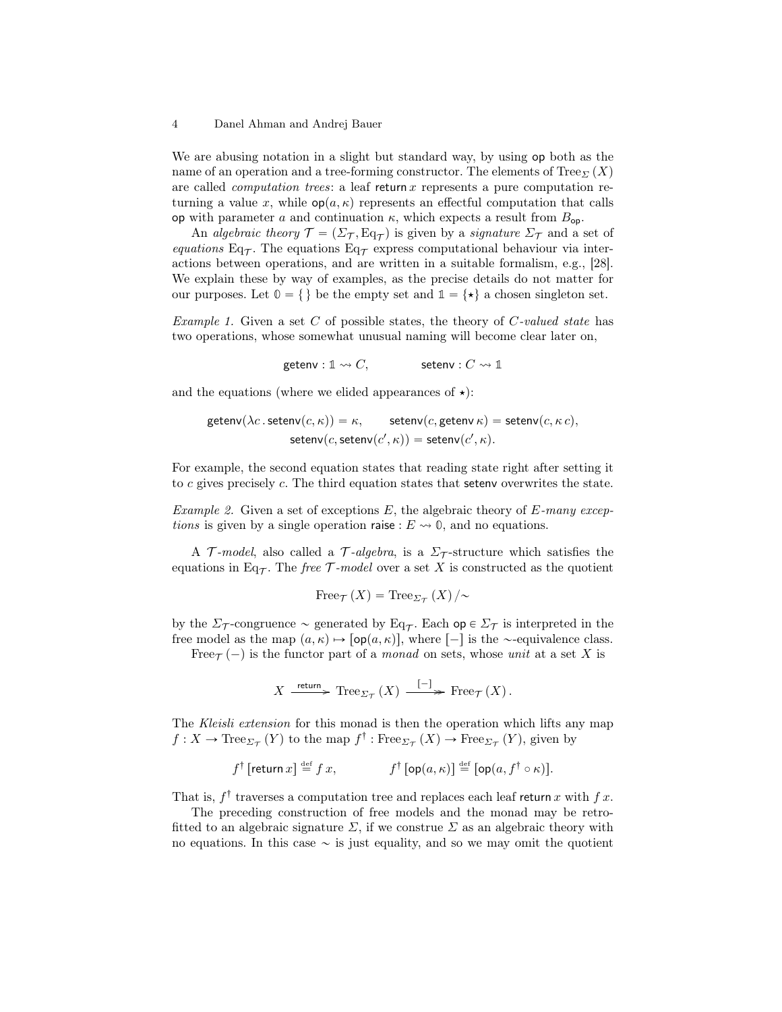We are abusing notation in a slight but standard way, by using op both as the name of an operation and a tree-forming constructor. The elements of  $\text{Tree}_{\Sigma}(X)$ are called computation trees: a leaf return x represents a pure computation returning a value x, while  $\mathsf{op}(a, \kappa)$  represents an effectful computation that calls op with parameter a and continuation  $\kappa$ , which expects a result from  $B_{op}$ .

An algebraic theory  $\mathcal{T} = (\Sigma_{\mathcal{T}}, Eq_{\mathcal{T}})$  is given by a signature  $\Sigma_{\mathcal{T}}$  and a set of equations Eq<sub>T</sub>. The equations Eq<sub>T</sub> express computational behaviour via interactions between operations, and are written in a suitable formalism, e.g., [\[28\]](#page-26-3). We explain these by way of examples, as the precise details do not matter for our purposes. Let  $\mathbb{0} = \{\}\$  be the empty set and  $\mathbb{1} = \{\star\}$  a chosen singleton set.

<span id="page-3-0"></span>Example 1. Given a set C of possible states, the theory of  $C$ -valued state has two operations, whose somewhat unusual naming will become clear later on,

getenv :  $\mathbb{1} \rightsquigarrow C$ , setenv :  $C \rightsquigarrow \mathbb{1}$ 

and the equations (where we elided appearances of  $\star$ ):

$$
\begin{aligned} \text{getenv}(\lambda c.\,\text{setenv}(c,\kappa))&=\kappa,\qquad \text{setenv}(c,\text{getenv}\,\kappa)=\text{setenv}(c,\kappa\,c),\\ &\text{setenv}(c,\text{setenv}(c',\kappa))=\text{setenv}(c',\kappa). \end{aligned}
$$

For example, the second equation states that reading state right after setting it to c gives precisely c. The third equation states that setenv overwrites the state.

<span id="page-3-1"></span>*Example 2.* Given a set of exceptions  $E$ , the algebraic theory of  $E$ -many exceptions is given by a single operation raise :  $E \rightsquigarrow 0$ , and no equations.

A T-model, also called a T-algebra, is a  $\Sigma_{\tau}$ -structure which satisfies the equations in Eq<sub>T</sub>. The *free* T-model over a set X is constructed as the quotient

$$
Free_{\mathcal{T}}(X) = Tree_{\Sigma_{\mathcal{T}}}(X) / \sim
$$

by the  $\Sigma_{\mathcal{T}}$ -congruence  $\sim$  generated by Eq<sub>T</sub>. Each op  $\in \Sigma_{\mathcal{T}}$  is interpreted in the free model as the map  $(a, \kappa) \mapsto [\text{op}(a, \kappa)],$  where  $[-]$  is the ~-equivalence class.

Free  $\tau$  (-) is the functor part of a monad on sets, whose unit at a set X is

$$
X \xrightarrow{\text{return}} \text{Tree}_{\Sigma_{\mathcal{T}}}(X) \xrightarrow{\begin{bmatrix} - \end{bmatrix} \text{Free}_{\mathcal{T}}(X).
$$

The Kleisli extension for this monad is then the operation which lifts any map  $f: X \to \text{Tree}_{\Sigma_{\mathcal{T}}}(Y)$  to the map  $f^{\dagger}$ : Free $_{\Sigma_{\mathcal{T}}}(X) \to \text{Free}_{\Sigma_{\mathcal{T}}}(Y)$ , given by

$$
f^{\dagger} \left[ \text{return } x \right] \stackrel{\text{def}}{=} f \, x, \qquad f^{\dagger} \left[ \text{op}(a, \kappa) \right] \stackrel{\text{def}}{=} \left[ \text{op}(a, f^{\dagger} \circ \kappa) \right].
$$

That is,  $f^{\dagger}$  traverses a computation tree and replaces each leaf return x with f x.

The preceding construction of free models and the monad may be retrofitted to an algebraic signature  $\Sigma$ , if we construe  $\Sigma$  as an algebraic theory with no equations. In this case  $\sim$  is just equality, and so we may omit the quotient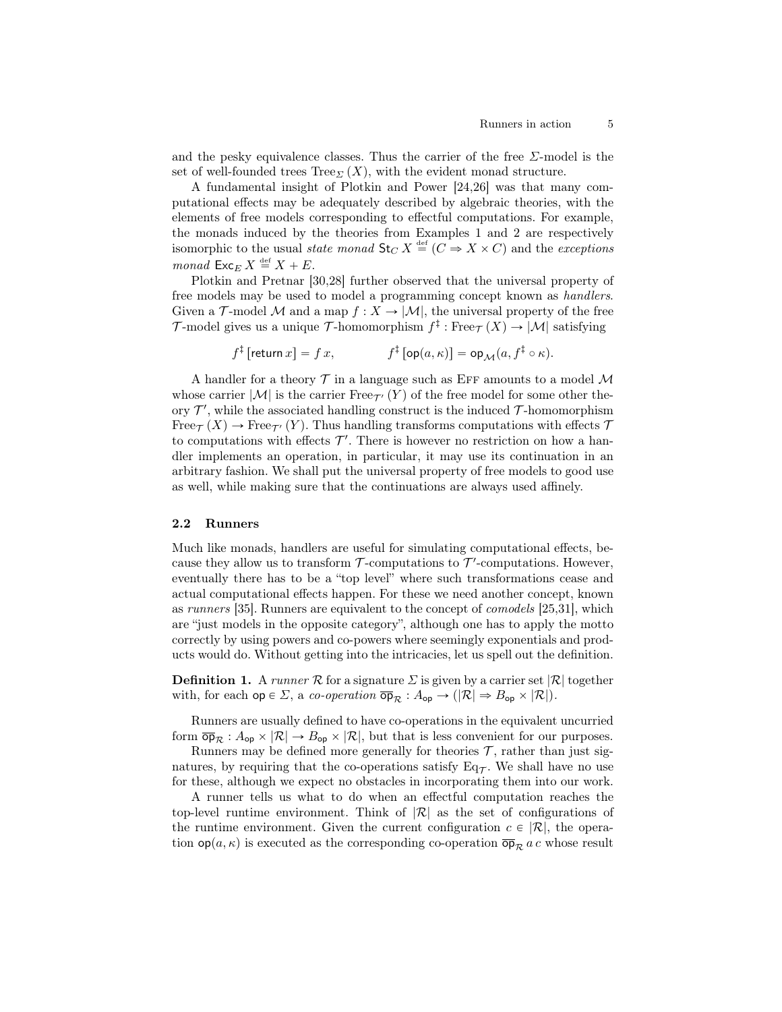and the pesky equivalence classes. Thus the carrier of the free  $\Sigma$ -model is the set of well-founded trees  $\text{Tree}_{\Sigma}(X)$ , with the evident monad structure.

A fundamental insight of Plotkin and Power [\[24,](#page-26-8)[26\]](#page-26-2) was that many computational effects may be adequately described by algebraic theories, with the elements of free models corresponding to effectful computations. For example, the monads induced by the theories from [Examples 1](#page-3-0) and [2](#page-3-1) are respectively isomorphic to the usual *state monad*  $\text{St}_C X \stackrel{\text{def}}{=} (C \Rightarrow X \times C)$  and the *exceptions* monad  $\mathsf{Exc}_E X \stackrel{\text{def}}{=} X + E.$ 

Plotkin and Pretnar [\[30,](#page-26-9)[28\]](#page-26-3) further observed that the universal property of free models may be used to model a programming concept known as handlers. Given a T-model M and a map  $f: X \to |M|$ , the universal property of the free  $\mathcal{T}$ -model gives us a unique  $\mathcal{T}$ -homomorphism  $f^{\ddagger}$ : Free $\tau(X) \to |\mathcal{M}|$  satisfying

 $f^{\ddagger}$  [return  $x$ ] = f x,  $f^{\ddagger}$  [op $(a,\kappa)$ ] = op $_{\mathcal{M}}(a,f^{\ddagger} \circ \kappa)$ .

A handler for a theory  $\mathcal T$  in a language such as EFF amounts to a model  $\mathcal M$ whose carrier  $|\mathcal{M}|$  is the carrier Free $\tau$  (Y) of the free model for some other theory  $\mathcal{T}'$ , while the associated handling construct is the induced  $\mathcal{T}$ -homomorphism Free  $\tau(X) \to \text{Free}_{\tau'}(Y)$ . Thus handling transforms computations with effects T to computations with effects  $\mathcal{T}'$ . There is however no restriction on how a handler implements an operation, in particular, it may use its continuation in an arbitrary fashion. We shall put the universal property of free models to good use as well, while making sure that the continuations are always used affinely.

#### 2.2 Runners

Much like monads, handlers are useful for simulating computational effects, because they allow us to transform  $\mathcal T$ -computations to  $\mathcal T'$ -computations. However, eventually there has to be a "top level" where such transformations cease and actual computational effects happen. For these we need another concept, known as runners [\[35\]](#page-27-1). Runners are equivalent to the concept of comodels [\[25,](#page-26-5)[31\]](#page-26-6), which are "just models in the opposite category", although one has to apply the motto correctly by using powers and co-powers where seemingly exponentials and products would do. Without getting into the intricacies, let us spell out the definition.

**Definition 1.** A runner  $\mathcal{R}$  for a signature  $\Sigma$  is given by a carrier set  $|\mathcal{R}|$  together with, for each  $op \in \Sigma$ , a co-operation  $\overline{op}_R : A_{op} \to (|\mathcal{R}| \Rightarrow B_{op} \times |\mathcal{R}|)$ .

Runners are usually defined to have co-operations in the equivalent uncurried form  $\overline{\mathsf{op}}_{\mathcal{R}} : A_{\mathsf{op}} \times |\mathcal{R}| \to B_{\mathsf{op}} \times |\mathcal{R}|$ , but that is less convenient for our purposes.

Runners may be defined more generally for theories  $\mathcal{T}$ , rather than just signatures, by requiring that the co-operations satisfy Eq<sub>T</sub>. We shall have no use for these, although we expect no obstacles in incorporating them into our work.

A runner tells us what to do when an effectful computation reaches the top-level runtime environment. Think of  $|\mathcal{R}|$  as the set of configurations of the runtime environment. Given the current configuration  $c \in |\mathcal{R}|$ , the operation  $op(a, \kappa)$  is executed as the corresponding co-operation  $\overline{op}_R a c$  whose result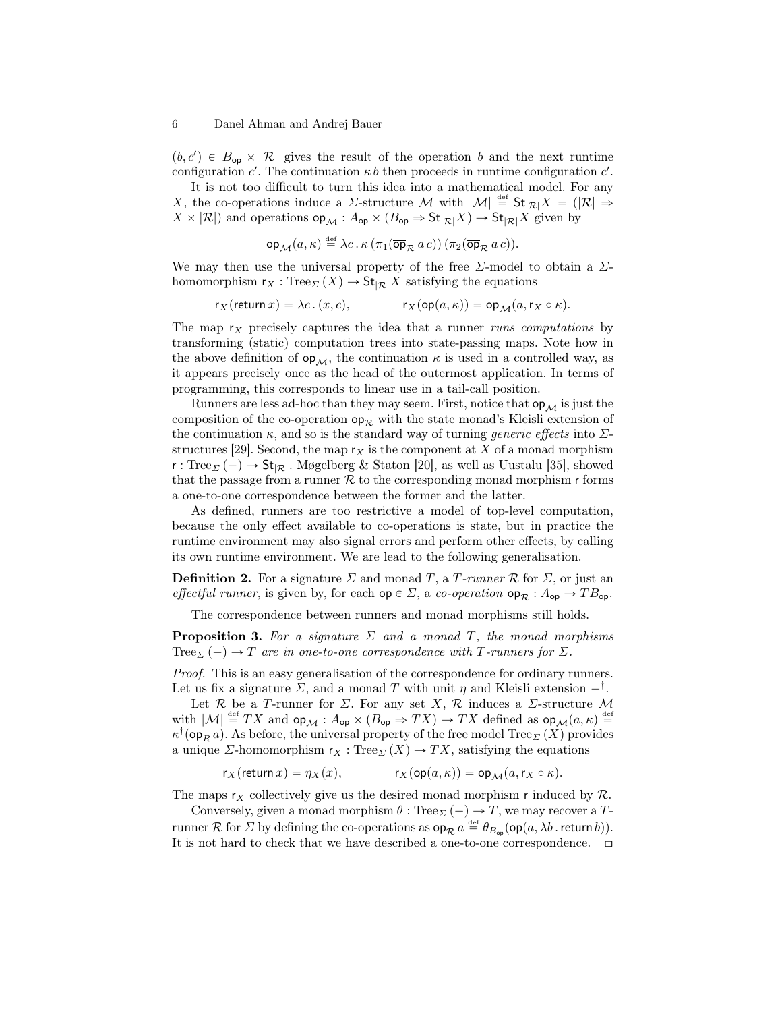$(b, c') \in B_{op} \times |\mathcal{R}|$  gives the result of the operation b and the next runtime configuration c'. The continuation  $\kappa b$  then proceeds in runtime configuration c'.

It is not too difficult to turn this idea into a mathematical model. For any X, the co-operations induce a *Σ*-structure M with  $|M| \stackrel{\text{def}}{=} \mathsf{St}_{|\mathcal{R}|}X = (|\mathcal{R}| \Rightarrow$  $X \times |\mathcal{R}|$  and operations  $op_\mathcal{M}: A_{op} \times (B_{op} \Rightarrow St_{|\mathcal{R}|}X) \rightarrow St_{|\mathcal{R}|}X$  given by

$$
\mathsf{op}_{\mathcal{M}}(a,\kappa) \stackrel{\text{def}}{=} \lambda c \cdot \kappa \left( \pi_1(\overline{\mathsf{op}}_{\mathcal{R}} a c) \right) \left( \pi_2(\overline{\mathsf{op}}_{\mathcal{R}} a c) \right).
$$

We may then use the universal property of the free  $\Sigma$ -model to obtain a  $\Sigma$ homomorphism  $r_X : \text{Tree}_{\Sigma}(X) \to \text{St}_{|\mathcal{R}|}X$  satisfying the equations

$$
r_X(\text{return } x) = \lambda c \cdot (x, c),
$$
  
 $r_X(\text{op}(a, \kappa)) = \text{op}_\mathcal{M}(a, r_X \circ \kappa).$ 

The map  $r_X$  precisely captures the idea that a runner runs computations by transforming (static) computation trees into state-passing maps. Note how in the above definition of  $op_{\mathcal{M}}$ , the continuation  $\kappa$  is used in a controlled way, as it appears precisely once as the head of the outermost application. In terms of programming, this corresponds to linear use in a tail-call position.

Runners are less ad-hoc than they may seem. First, notice that  $op_{\mathcal{M}}$  is just the composition of the co-operation  $\overline{\mathsf{op}}_{\mathcal{R}}$  with the state monad's Kleisli extension of the continuation  $\kappa$ , and so is the standard way of turning *generic effects* into  $\Sigma$ -structures [\[29\]](#page-26-10). Second, the map  $r_X$  is the component at X of a monad morphism  $r: \text{Tree}_{\Sigma}(-) \rightarrow \text{St}_{|\mathcal{R}|}.$  Møgelberg & Staton [\[20\]](#page-26-7), as well as Uustalu [\[35\]](#page-27-1), showed that the passage from a runner  $R$  to the corresponding monad morphism r forms a one-to-one correspondence between the former and the latter.

As defined, runners are too restrictive a model of top-level computation, because the only effect available to co-operations is state, but in practice the runtime environment may also signal errors and perform other effects, by calling its own runtime environment. We are lead to the following generalisation.

**Definition 2.** For a signature  $\Sigma$  and monad T, a T-runner R for  $\Sigma$ , or just an effectful runner, is given by, for each  $op \in \Sigma$ , a co-operation  $\overline{op}_R : A_{op} \to TB_{op}$ .

The correspondence between runners and monad morphisms still holds.

<span id="page-5-0"></span>**Proposition 3.** For a signature  $\Sigma$  and a monad  $T$ , the monad morphisms Tree<sub> $\Sigma$ </sub> (-)  $\rightarrow$  T are in one-to-one correspondence with T-runners for  $\Sigma$ .

Proof. This is an easy generalisation of the correspondence for ordinary runners. Let us fix a signature  $\Sigma$ , and a monad T with unit  $\eta$  and Kleisli extension  $-\dot{z}$ .

Let  $\mathcal R$  be a T-runner for  $\Sigma$ . For any set X,  $\mathcal R$  induces a  $\Sigma$ -structure M with  $|\mathcal{M}| \stackrel{\text{def}}{=} TX$  and  $\mathsf{op}_{\mathcal{M}}: A_{\mathsf{op}} \times (B_{\mathsf{op}} \Rightarrow TX) \to TX$  defined as  $\mathsf{op}_{\mathcal{M}}(a, \kappa) \stackrel{\text{def}}{=}$  $\kappa^\dagger(\overline{{\sf op}}_R a)$ . As before, the universal property of the free model  ${\rm Tree}_\varSigma\left(X\right)$  provides a unique  $\Sigma$ -homomorphism  $r_X : \text{Tree}_{\Sigma}(X) \to TX$ , satisfying the equations

$$
r_X(\text{return } x) = \eta_X(x),
$$
  
 $r_X(\text{op}(a, \kappa)) = \text{op}_\mathcal{M}(a, r_X \circ \kappa).$ 

The maps  $r_X$  collectively give us the desired monad morphism r induced by  $\mathcal{R}$ .

Conversely, given a monad morphism  $\theta$ : Tree $\Gamma$  (-)  $\rightarrow$  T, we may recover a Trunner  $\mathcal R$  for  $\varSigma$  by defining the co-operations as  $\overline{\mathsf{op}}_{\mathcal R} a \stackrel{\scriptscriptstyle\rm def}{=} \theta_{B_{\mathsf{op}}}(\mathsf{op}(a,\lambda b\,\mathsf{return}\, b)).$ It is not hard to check that we have described a one-to-one correspondence.  $\Box$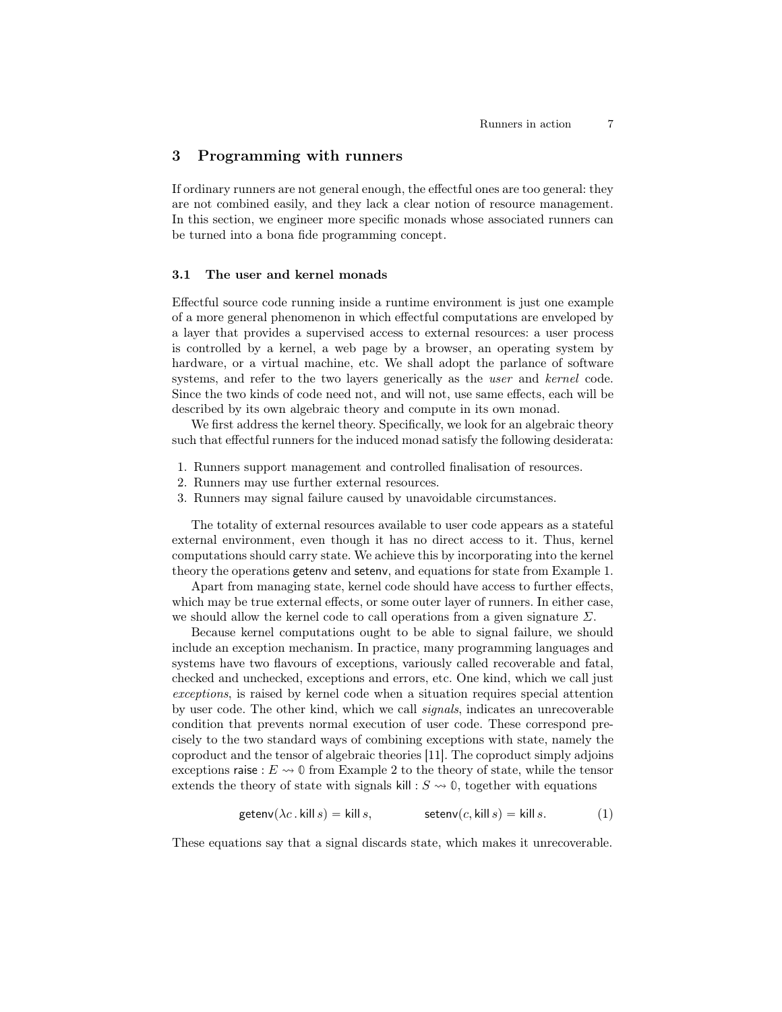# <span id="page-6-0"></span>3 Programming with runners

If ordinary runners are not general enough, the effectful ones are too general: they are not combined easily, and they lack a clear notion of resource management. In this section, we engineer more specific monads whose associated runners can be turned into a bona fide programming concept.

## <span id="page-6-2"></span>3.1 The user and kernel monads

Effectful source code running inside a runtime environment is just one example of a more general phenomenon in which effectful computations are enveloped by a layer that provides a supervised access to external resources: a user process is controlled by a kernel, a web page by a browser, an operating system by hardware, or a virtual machine, etc. We shall adopt the parlance of software systems, and refer to the two layers generically as the user and kernel code. Since the two kinds of code need not, and will not, use same effects, each will be described by its own algebraic theory and compute in its own monad.

We first address the kernel theory. Specifically, we look for an algebraic theory such that effectful runners for the induced monad satisfy the following desiderata:

- 1. Runners support management and controlled finalisation of resources.
- 2. Runners may use further external resources.
- 3. Runners may signal failure caused by unavoidable circumstances.

The totality of external resources available to user code appears as a stateful external environment, even though it has no direct access to it. Thus, kernel computations should carry state. We achieve this by incorporating into the kernel theory the operations getenv and setenv, and equations for state from [Example 1.](#page-3-0)

Apart from managing state, kernel code should have access to further effects, which may be true external effects, or some outer layer of runners. In either case, we should allow the kernel code to call operations from a given signature  $\Sigma$ .

Because kernel computations ought to be able to signal failure, we should include an exception mechanism. In practice, many programming languages and systems have two flavours of exceptions, variously called recoverable and fatal, checked and unchecked, exceptions and errors, etc. One kind, which we call just exceptions, is raised by kernel code when a situation requires special attention by user code. The other kind, which we call signals, indicates an unrecoverable condition that prevents normal execution of user code. These correspond precisely to the two standard ways of combining exceptions with state, namely the coproduct and the tensor of algebraic theories [\[11\]](#page-25-4). The coproduct simply adjoins exceptions raise :  $E \rightarrow 0$  from [Example 2](#page-3-1) to the theory of state, while the tensor extends the theory of state with signals kill :  $S \rightarrow \mathbb{0}$ , together with equations

<span id="page-6-1"></span>
$$
\text{getenv}(\lambda c. \text{kill } s) = \text{kill } s, \qquad \text{setenv}(c, \text{kill } s) = \text{kill } s. \tag{1}
$$

These equations say that a signal discards state, which makes it unrecoverable.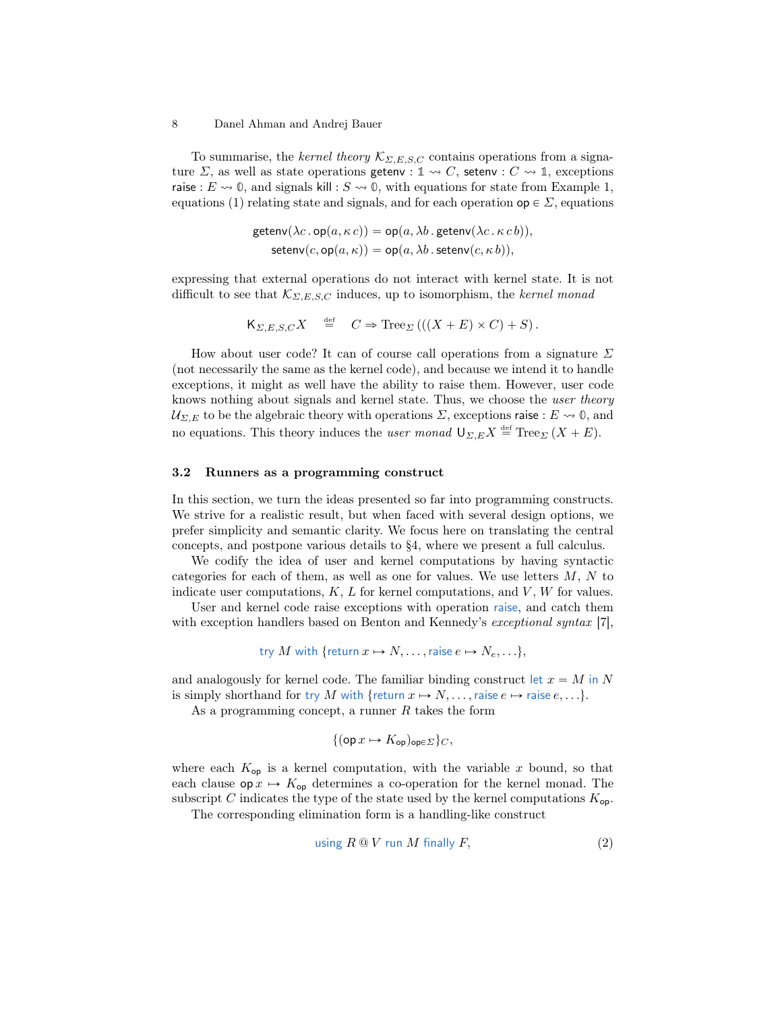To summarise, the kernel theory  $\mathcal{K}_{\Sigma,E,S,C}$  contains operations from a signature  $\Sigma$ , as well as state operations getenv :  $\mathbb{1} \rightsquigarrow C$ , setenv :  $C \rightsquigarrow \mathbb{1}$ , exceptions raise :  $E \rightsquigarrow 0$ , and signals kill :  $S \rightsquigarrow 0$ , with equations for state from [Example 1,](#page-3-0) equations [\(1\)](#page-6-1) relating state and signals, and for each operation  $op \in \Sigma$ , equations

getenv(
$$
\lambda c
$$
. op( $a, \kappa c$ )) = op( $a, \lambda b$ . getenv( $\lambda c$ .  $\kappa c b$ )),  
setenv( $c$ , op( $a, \kappa$ )) = op( $a, \lambda b$ . setenv( $c, \kappa b$ )),

expressing that external operations do not interact with kernel state. It is not difficult to see that  $\mathcal{K}_{\Sigma,E,S,C}$  induces, up to isomorphism, the kernel monad

 $\mathsf{K}_{\Sigma,E,S,C} X \stackrel{\text{def}}{=} C \Rightarrow \text{Tree}_{\Sigma} ((X + E) \times C) + S).$ 

How about user code? It can of course call operations from a signature  $\Sigma$ (not necessarily the same as the kernel code), and because we intend it to handle exceptions, it might as well have the ability to raise them. However, user code knows nothing about signals and kernel state. Thus, we choose the user theory  $\mathcal{U}_{\Sigma,E}$  to be the algebraic theory with operations  $\Sigma$ , exceptions raise :  $E \rightsquigarrow 0$ , and no equations. This theory induces the user monad  $\bigcup_{\Sigma,E} X \stackrel{\text{def}}{=} \text{Tree}_{\Sigma}(X + E)$ .

## <span id="page-7-1"></span>3.2 Runners as a programming construct

In this section, we turn the ideas presented so far into programming constructs. We strive for a realistic result, but when faced with several design options, we prefer simplicity and semantic clarity. We focus here on translating the central concepts, and postpone various details to [§4,](#page-9-0) where we present a full calculus.

We codify the idea of user and kernel computations by having syntactic categories for each of them, as well as one for values. We use letters  $M$ ,  $N$  to indicate user computations,  $K, L$  for kernel computations, and  $V, W$  for values.

User and kernel code raise exceptions with operation raise, and catch them with exception handlers based on Benton and Kennedy's exceptional syntax [\[7\]](#page-25-5),

try M with {return 
$$
x \mapsto N, \ldots
$$
, raise  $e \mapsto N_e, \ldots$ },

and analogously for kernel code. The familiar binding construct let  $x = M$  in N is simply shorthand for try M with {return  $x \mapsto N, \ldots$ , raise  $e \mapsto$  raise  $e, \ldots$ }.

As a programming concept, a runner  $R$  takes the form

$$
\{(\text{op } x \mapsto K_{\text{op}})_{\text{op}} \in \Sigma\}_C,
$$

where each  $K_{op}$  is a kernel computation, with the variable x bound, so that each clause  $\mathsf{op}\,x \mapsto K_{\mathsf{op}}$  determines a co-operation for the kernel monad. The subscript C indicates the type of the state used by the kernel computations  $K_{op}$ .

The corresponding elimination form is a handling-like construct

<span id="page-7-0"></span>using 
$$
R \tQ V
$$
 run  $M$  finally  $F$ , 
$$
\tag{2}
$$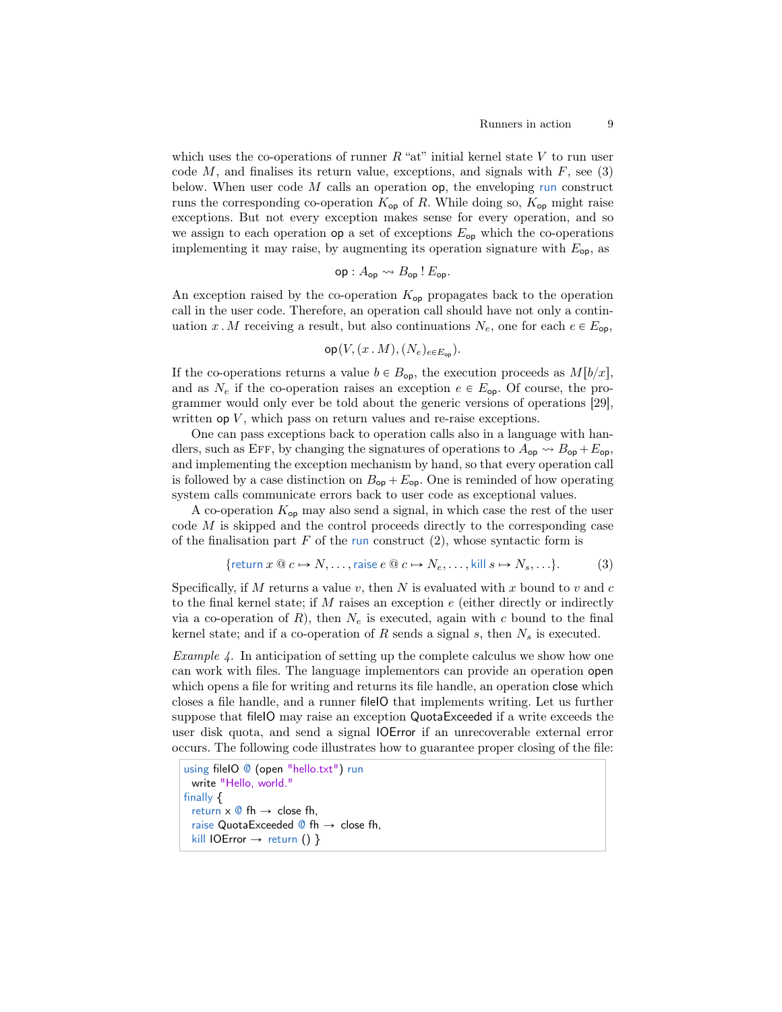which uses the co-operations of runner  $R$  "at" initial kernel state V to run user code  $M$ , and finalises its return value, exceptions, and signals with  $F$ , see [\(3\)](#page-8-0) below. When user code  $M$  calls an operation op, the enveloping run construct runs the corresponding co-operation  $K_{op}$  of R. While doing so,  $K_{op}$  might raise exceptions. But not every exception makes sense for every operation, and so we assign to each operation op a set of exceptions  $E_{op}$  which the co-operations implementing it may raise, by augmenting its operation signature with  $E_{\rm op}$ , as

$$
\text{op}: A_{\text{op}} \leadsto B_{\text{op}}! E_{\text{op}}.
$$

An exception raised by the co-operation  $K_{op}$  propagates back to the operation call in the user code. Therefore, an operation call should have not only a continuation x. M receiving a result, but also continuations  $N_e$ , one for each  $e \in E_{op}$ ,

$$
\mathsf{op}(V,(x,M),(N_e)_{e\in E_{\mathsf{op}}}).
$$

If the co-operations returns a value  $b \in B_{op}$ , the execution proceeds as  $M[b/x]$ , and as  $N_e$  if the co-operation raises an exception  $e \in E_{op}$ . Of course, the programmer would only ever be told about the generic versions of operations [\[29\]](#page-26-10), written  $op V$ , which pass on return values and re-raise exceptions.

One can pass exceptions back to operation calls also in a language with handlers, such as EFF, by changing the signatures of operations to  $A_{op} \leadsto B_{op} + E_{op}$ , and implementing the exception mechanism by hand, so that every operation call is followed by a case distinction on  $B_{op} + E_{op}$ . One is reminded of how operating system calls communicate errors back to user code as exceptional values.

A co-operation  $K_{op}$  may also send a signal, in which case the rest of the user code M is skipped and the control proceeds directly to the corresponding case of the finalisation part  $F$  of the run construct  $(2)$ , whose syntactic form is

<span id="page-8-0"></span>
$$
\{\text{return } x \t\circledcirc c \mapsto N, \dots, \text{raise } e \t\circledcirc c \mapsto N_e, \dots, \text{kill } s \mapsto N_s, \dots\}.\tag{3}
$$

Specifically, if M returns a value  $v$ , then N is evaluated with x bound to  $v$  and  $c$ to the final kernel state; if  $M$  raises an exception  $e$  (either directly or indirectly via a co-operation of  $R$ ), then  $N_e$  is executed, again with c bound to the final kernel state; and if a co-operation of R sends a signal s, then  $N_s$  is executed.

<span id="page-8-1"></span>*Example 4.* In anticipation of setting up the complete calculus we show how one can work with files. The language implementors can provide an operation open which opens a file for writing and returns its file handle, an operation close which closes a file handle, and a runner fileIO that implements writing. Let us further suppose that fileIO may raise an exception QuotaExceeded if a write exceeds the user disk quota, and send a signal IOError if an unrecoverable external error occurs. The following code illustrates how to guarantee proper closing of the file:

using fileIO @ (open "hello.txt") run write "Hello, world." finally { return  $x \circledcirc$  fh  $\rightarrow$  close fh, raise QuotaExceeded  $\mathbb{Q}$  fh  $\rightarrow$  close fh, kill IOError  $\rightarrow$  return () }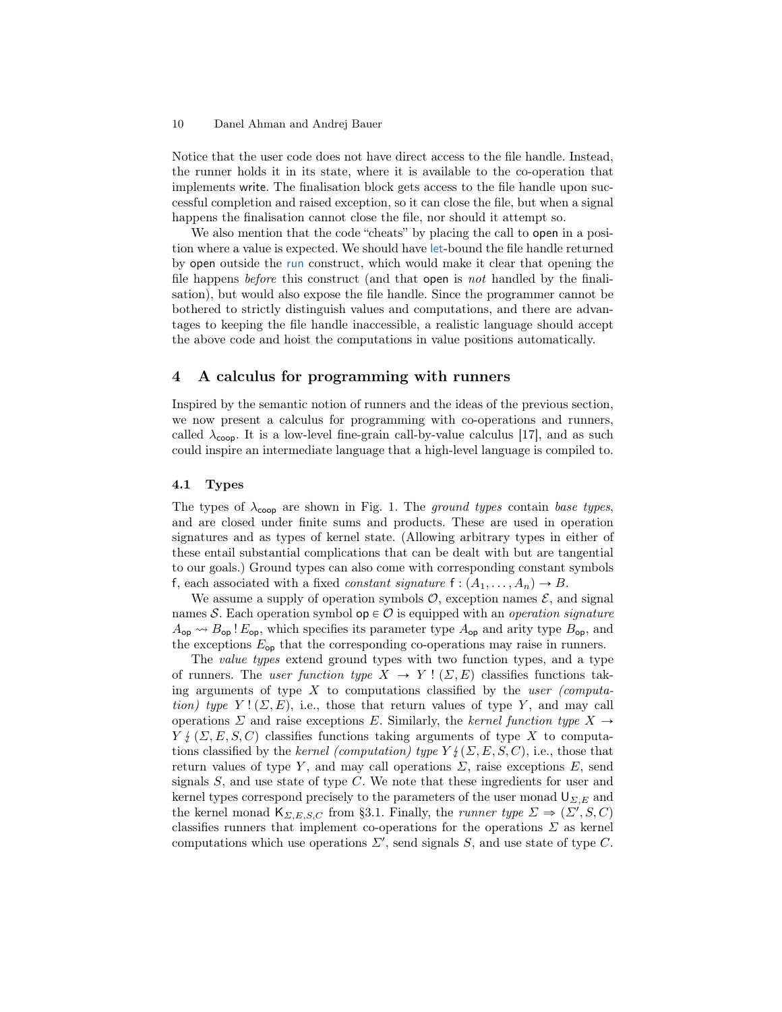Notice that the user code does not have direct access to the file handle. Instead, the runner holds it in its state, where it is available to the co-operation that implements write. The finalisation block gets access to the file handle upon successful completion and raised exception, so it can close the file, but when a signal happens the finalisation cannot close the file, nor should it attempt so.

We also mention that the code "cheats" by placing the call to open in a position where a value is expected. We should have let-bound the file handle returned by open outside the run construct, which would make it clear that opening the file happens before this construct (and that open is not handled by the finalisation), but would also expose the file handle. Since the programmer cannot be bothered to strictly distinguish values and computations, and there are advantages to keeping the file handle inaccessible, a realistic language should accept the above code and hoist the computations in value positions automatically.

# <span id="page-9-0"></span>4 A calculus for programming with runners

Inspired by the semantic notion of runners and the ideas of the previous section, we now present a calculus for programming with co-operations and runners, called  $\lambda_{\text{coop}}$ . It is a low-level fine-grain call-by-value calculus [\[17\]](#page-26-11), and as such could inspire an intermediate language that a high-level language is compiled to.

#### <span id="page-9-1"></span>4.1 Types

The types of  $\lambda_{\rm{coop}}$  are shown in [Fig. 1.](#page-10-0) The ground types contain base types, and are closed under finite sums and products. These are used in operation signatures and as types of kernel state. (Allowing arbitrary types in either of these entail substantial complications that can be dealt with but are tangential to our goals.) Ground types can also come with corresponding constant symbols f, each associated with a fixed *constant signature*  $f: (A_1, \ldots, A_n) \to B$ .

We assume a supply of operation symbols  $\mathcal{O}$ , exception names  $\mathcal{E}$ , and signal names S. Each operation symbol  $op \in \mathcal{O}$  is equipped with an *operation signature*  $A_{\text{op}} \leadsto B_{\text{op}}$ !  $E_{\text{op}}$ , which specifies its parameter type  $A_{\text{op}}$  and arity type  $B_{\text{op}}$ , and the exceptions  $E_{op}$  that the corresponding co-operations may raise in runners.

The value types extend ground types with two function types, and a type of runners. The user function type  $X \to Y$  !  $(\Sigma, E)$  classifies functions taking arguments of type  $X$  to computations classified by the user (computation) type  $Y! (\Sigma, E)$ , i.e., those that return values of type Y, and may call operations  $\Sigma$  and raise exceptions E. Similarly, the kernel function type  $X \rightarrow$  $Y \nleq (\Sigma, E, S, C)$  classifies functions taking arguments of type X to computations classified by the kernel (computation) type  $Y_{\mathcal{L}}(\Sigma, E, S, C)$ , i.e., those that return values of type Y, and may call operations  $\Sigma$ , raise exceptions E, send signals  $S$ , and use state of type  $C$ . We note that these ingredients for user and kernel types correspond precisely to the parameters of the user monad  $\mathsf{U}_{\Sigma,E}$  and the kernel monad  $\mathsf{K}_{\Sigma,E,S,C}$  from [§3.1.](#page-6-2) Finally, the *runner type*  $\Sigma \Rightarrow (\Sigma', S, C)$ classifies runners that implement co-operations for the operations  $\Sigma$  as kernel computations which use operations  $\Sigma'$ , send signals S, and use state of type C.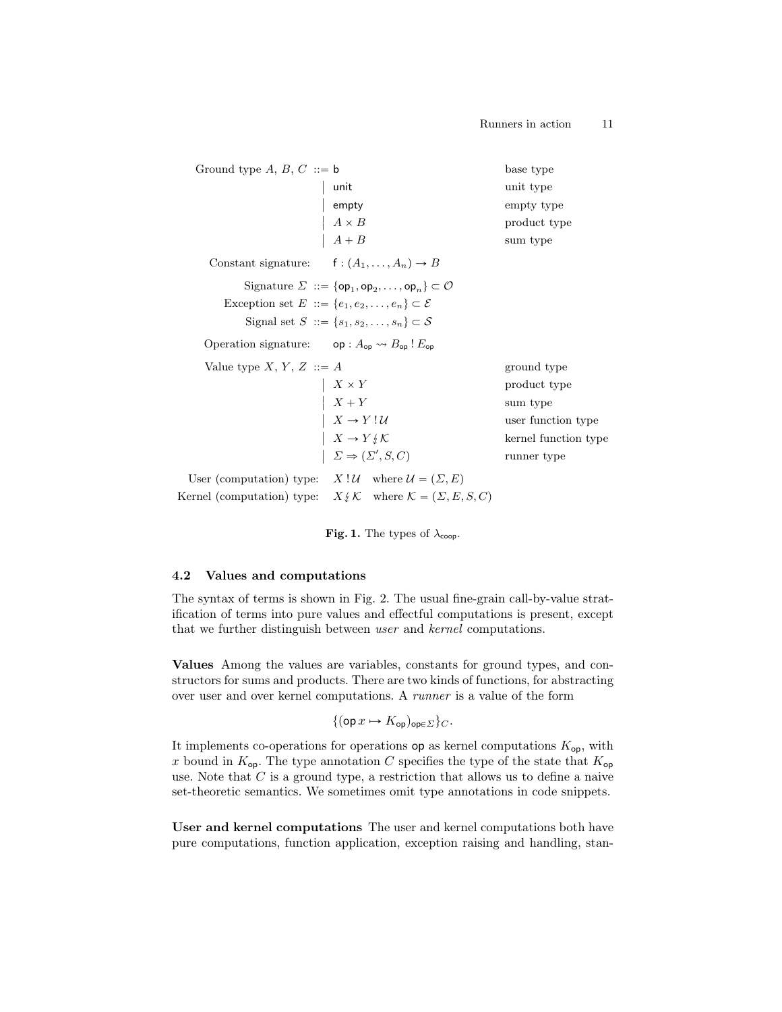Ground type  $A, B, C ::= \mathbf{b}$  base type unit type **e** ⊔nit empty type  $|$  empty product type  $\mid A \times B$  $\begin{array}{ccc} \mid & A + B \end{array}$  sum type Constant signature:  $f : (A_1, \ldots, A_n) \to B$ Signature  $\Sigma$  ::= { $\mathsf{op}_1, \mathsf{op}_2, \ldots, \mathsf{op}_n$ }  $\subset \mathcal{O}$ Exception set  $E ::= \{e_1, e_2, \ldots, e_n\} \subset \mathcal{E}$ Signal set  $S ::= \{s_1, s_2, \ldots, s_n\} \subset S$ Operation signature:  $op : A_{op} \leadsto B_{op} : E_{op}$ Value type  $X, Y, Z ::= A$  ground type product type  $\mid X \times Y$  $\begin{array}{ccc} \mid & X + Y \end{array}$  sum type user function type  $\mid X \rightarrow Y!U$ kernel function type  $\mid X \rightarrow Y \frac{1}{2} \mathcal{K}$  $\overline{\mathcal{L}} \Rightarrow (\mathcal{L}'$ runner type User (computation) type:  $X!U$  where  $U = (\Sigma, E)$ Kernel (computation) type:  $X \notin \mathcal{K}$  where  $\mathcal{K} = (\Sigma, E, S, C)$ 

<span id="page-10-0"></span>Fig. 1. The types of  $\lambda_{\text{coop}}$ .

#### 4.2 Values and computations

The syntax of terms is shown in [Fig. 2.](#page-11-0) The usual fine-grain call-by-value stratification of terms into pure values and effectful computations is present, except that we further distinguish between user and kernel computations.

Values Among the values are variables, constants for ground types, and constructors for sums and products. There are two kinds of functions, for abstracting over user and over kernel computations. A runner is a value of the form

$$
\{(\text{op } x \mapsto K_{\text{op}})_{\text{op}} \in \Sigma\}_C.
$$

It implements co-operations for operations  $\infty$  as kernel computations  $K_{op}$ , with x bound in  $K_{op}$ . The type annotation C specifies the type of the state that  $K_{op}$ use. Note that  $C$  is a ground type, a restriction that allows us to define a naive set-theoretic semantics. We sometimes omit type annotations in code snippets.

User and kernel computations The user and kernel computations both have pure computations, function application, exception raising and handling, stan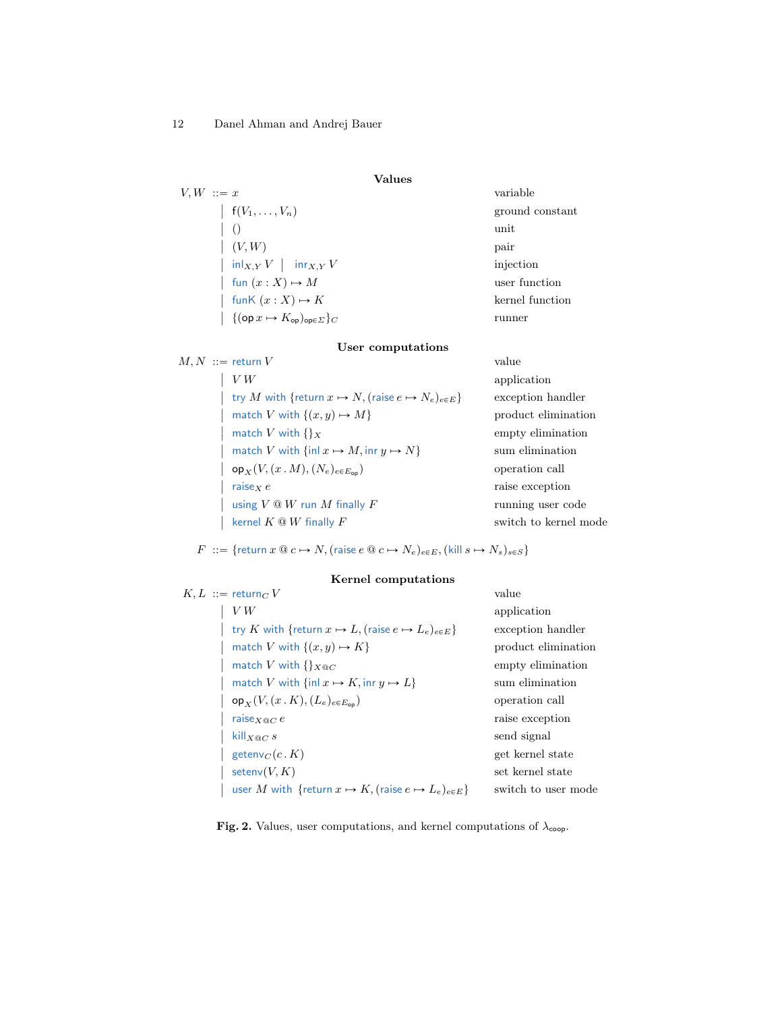Values

 $V, W \; ::= x$  variable ˇ ˇ  $\it ground$  constant ˇ  $\begin{pmatrix} 0 & 0 \\ 0 & 0 \end{pmatrix}$  unit  $\left(\begin{array}{cc} V,W \end{array}\right)$  pair  $\int$  inl<sub>X,Y</sub> V ˇ ˇ  $\operatorname{injection}$ ˇ  $\mathfrak{f}$  fun  $(x : X) \mapsto M$  user function  $\text{rank}(x : X) \mapsto K$  kernel function  $\{(\mathsf{op}\,x \mapsto K_{\mathsf{op}})_{\mathsf{op}\in \Sigma}\}_C$  runner

## User computations

| $M, N$ ::= return $V$                                                      | value                 |
|----------------------------------------------------------------------------|-----------------------|
| V W                                                                        | application           |
| try M with {return $x \mapsto N$ , (raise $e \mapsto N_e$ ) $_{e \in E}$ } | exception handler     |
| match V with $\{(x, y) \mapsto M\}$                                        | product elimination   |
| match V with $\{x\}$                                                       | empty elimination     |
| match V with $\{\text{inl } x \mapsto M, \text{inr } y \mapsto N\}$        | sum elimination       |
| $op_X(V, (x, M), (N_e)_{e \in E_{op}})$                                    | operation call        |
| raise $x e$                                                                | raise exception       |
| using $V @ W$ run M finally F                                              | running user code     |
|                                                                            | switch to kernel mode |

 $F$  ::= {return  $x @ c \mapsto N$ , (raise  $e @ c \mapsto N_e)_{e \in E}$ , (kill  $s \mapsto N_s$ ) $_{s \in S}$ }

## Kernel computations

| $K,L \ ::=\mathsf{return}_C\, V$                                            | value               |
|-----------------------------------------------------------------------------|---------------------|
| V W                                                                         | application         |
| try K with {return $x \mapsto L$ , (raise $e \mapsto L_e$ ) $_{e \in E}$ }  | exception handler   |
| match V with $\{(x, y) \mapsto K\}$                                         | product elimination |
| match V with $\{x_{\odot C}$                                                | empty elimination   |
| match V with $\{\text{inl } x \mapsto K, \text{inr } y \mapsto L\}$         | sum elimination     |
| $op_X(V, (x, K), (L_e)_{e \in E_{op}})$                                     | operation call      |
| raise $x \otimes c$ e                                                       | raise exception     |
| kill $x \otimes C$ <i>s</i>                                                 | send signal         |
| getenv $_C(c, K)$                                                           | get kernel state    |
| setenv $(V, K)$                                                             | set kernel state    |
| user M with {return $x \mapsto K$ , (raise $e \mapsto L_e$ ) $_{e \in E}$ } | switch to user mode |

<span id="page-11-0"></span>Fig. 2. Values, user computations, and kernel computations of  $\lambda_{\text{coop}}$ .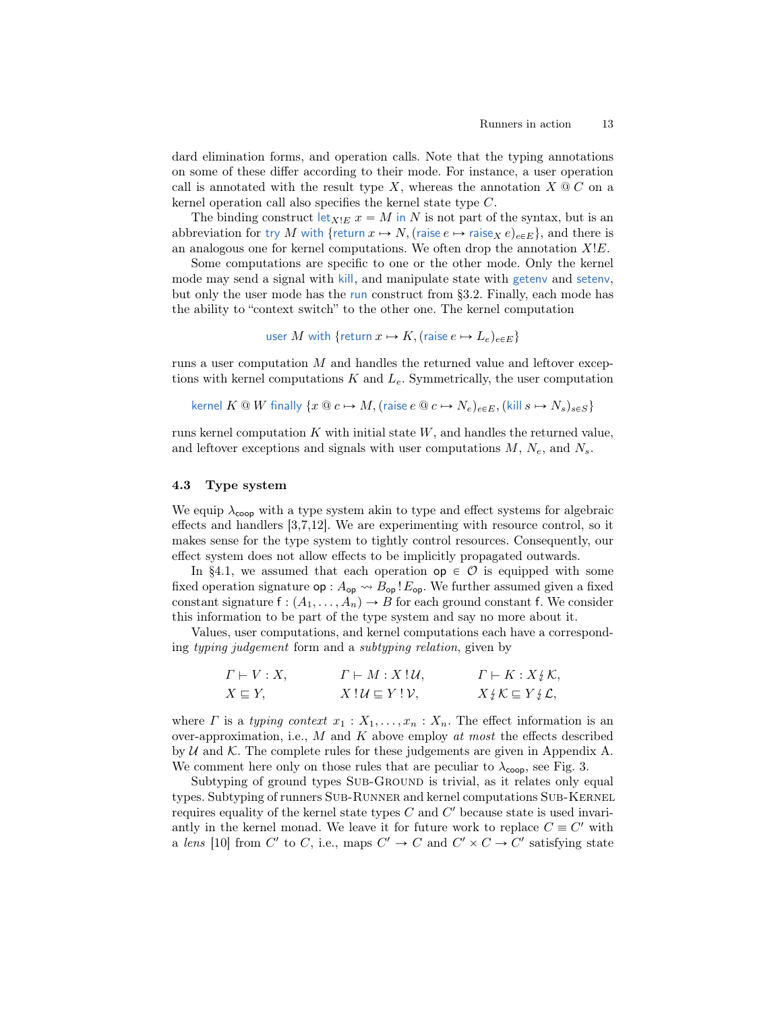dard elimination forms, and operation calls. Note that the typing annotations on some of these differ according to their mode. For instance, a user operation call is annotated with the result type X, whereas the annotation  $X \otimes C$  on a kernel operation call also specifies the kernel state type  $C$ .

The binding construct let  $X|E \t X = M$  in N is not part of the syntax, but is an abbreviation for try M with {return  $x \mapsto N$ , (raise  $e \mapsto$  raise<sub>X</sub> e}<sub>e</sub> $\in$ <sub>E</sub>}, and there is an analogous one for kernel computations. We often drop the annotation  $X.E$ .

Some computations are specific to one or the other mode. Only the kernel mode may send a signal with kill, and manipulate state with getenv and setenv, but only the user mode has the run construct from [§3.2.](#page-7-1) Finally, each mode has the ability to "context switch" to the other one. The kernel computation

user M with {return  $x \mapsto K$ , (raise  $e \mapsto L_e|_{e \in E}$ }

runs a user computation M and handles the returned value and leftover exceptions with kernel computations  $K$  and  $L_e$ . Symmetrically, the user computation

kernel  $K \tQ W$  finally  $\{x \tQ c \mapsto M, (\text{raise } e \tQ c \mapsto N_e)_{e \in E}, (\text{kill } s \mapsto N_s)_{s \in S}\}$ 

runs kernel computation  $K$  with initial state  $W$ , and handles the returned value, and leftover exceptions and signals with user computations  $M, N_e$ , and  $N_s$ .

## <span id="page-12-0"></span>4.3 Type system

We equip  $\lambda_{\text{coop}}$  with a type system akin to type and effect systems for algebraic effects and handlers [\[3,](#page-25-6)[7,](#page-25-5)[12\]](#page-25-0). We are experimenting with resource control, so it makes sense for the type system to tightly control resources. Consequently, our effect system does not allow effects to be implicitly propagated outwards.

In [§4.1,](#page-9-1) we assumed that each operation op  $\in \mathcal{O}$  is equipped with some fixed operation signature  $op : A_{op} \rightarrow B_{op}! E_{op}$ . We further assumed given a fixed constant signature  $f : (A_1, \ldots, A_n) \to B$  for each ground constant f. We consider this information to be part of the type system and say no more about it.

Values, user computations, and kernel computations each have a corresponding typing judgement form and a subtyping relation, given by

$$
T \vdash V : X, \qquad T \vdash M : X ! U, \qquad T \vdash K : X \nbrace \mathcal{K},
$$
  
\n
$$
X \sqsubseteq Y, \qquad X ! U \sqsubseteq Y ! V, \qquad X \nbrace \mathcal{K} \sqsubseteq Y \nbrace \mathcal{L},
$$

where  $\Gamma$  is a typing context  $x_1 : X_1, \ldots, x_n : X_n$ . The effect information is an over-approximation, i.e.,  $M$  and  $K$  above employ at most the effects described by  $U$  and K. The complete rules for these judgements are given in [Appendix A.](#page-27-2) We comment here only on those rules that are peculiar to  $\lambda_{\text{coop}}$ , see [Fig. 3.](#page-13-0)

Subtyping of ground types Sub-Ground is trivial, as it relates only equal types. Subtyping of runners Sub-Runner and kernel computations Sub-Kernel requires equality of the kernel state types  $C$  and  $C'$  because state is used invariantly in the kernel monad. We leave it for future work to replace  $C \equiv C'$  with a lens [\[10\]](#page-25-7) from C' to C, i.e., maps  $C' \rightarrow C$  and  $C' \times C \rightarrow C'$  satisfying state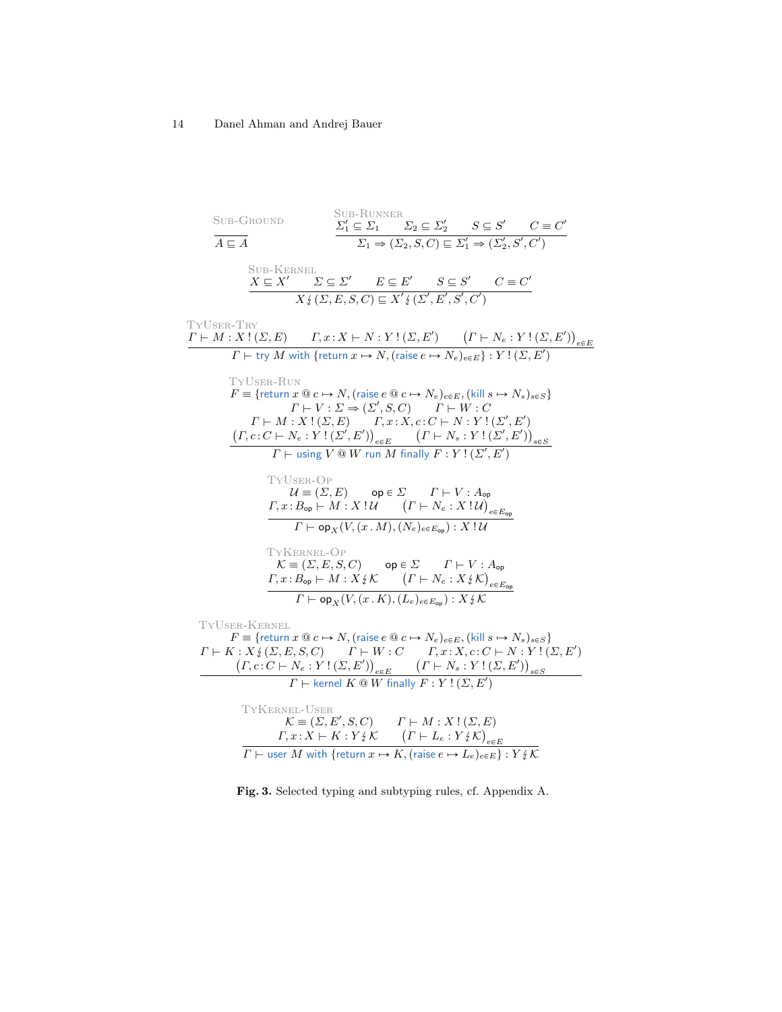| <b>SUB-RUNNER</b><br>SUB-GROUND<br>$\frac{\Sigma_1' \subseteq \Sigma_1 \quad \Sigma_2 \subseteq \Sigma_2' \quad S \subseteq S' \quad C \equiv C'}{\Sigma_1 \Rightarrow (\Sigma_2, S, C) \subseteq \Sigma_1' \Rightarrow (\Sigma_2', S', C')}$<br>$A \sqsubseteq A$                                                                                                                                                                                                                                                                                                                                                                     |
|----------------------------------------------------------------------------------------------------------------------------------------------------------------------------------------------------------------------------------------------------------------------------------------------------------------------------------------------------------------------------------------------------------------------------------------------------------------------------------------------------------------------------------------------------------------------------------------------------------------------------------------|
| $\operatorname{SUB-KERNEL}$<br>$\frac{X \subseteq X'}{X \subseteq X} \sum_{\forall \ell \in \mathcal{L}} \sum_{\ell \in \mathcal{L}}' E \subseteq E' \quad S \subseteq S' \quad C \equiv C'$                                                                                                                                                                                                                                                                                                                                                                                                                                           |
| TYUSER-TRY<br>$\frac{\Gamma\vdash M:X\,!( \varSigma,E)\qquad \Gamma,x:X\vdash N:Y\,! \left(\varSigma,E'\right)\qquad \left(\varGamma\vdash N_{e}:Y\,! \left(\varSigma,E'\right)\right)_{e\in E}}{\Gamma\vdash \operatorname{try} M \text{ with }\{\operatorname{return} x\mapsto N, \left(\operatorname{raise} e\mapsto N_{e}\right)_{e\in E}\}:Y\,! \left(\varSigma,E'\right)}$                                                                                                                                                                                                                                                       |
| TYUSER-RUN<br>$F \equiv \{$ return $x \t0 \t c \mapsto N$ , (raise $e \t0 \t c \mapsto N_e$ ) $_{e \in E}$ , (kill $s \mapsto N_s$ ) $_{s \in S}$ }<br>$\Gamma \vdash V : \Sigma \Rightarrow (\Sigma', S, C) \qquad \Gamma \vdash W : C$<br>$\begin{array}{c} \Gamma\vdash M:X\,!\left(\varSigma,E\right)\quad \, \Gamma,x:X,c:C\vdash N:Y\,!\left(\varSigma',E'\right)\\ \left(\varGamma,c:C\vdash N_{e}:Y\,!\left(\varSigma',E'\right)\right)_{e\in E}\quad \  \  \left(\varGamma\vdash N_{s}:Y\,!\left(\varSigma',E'\right)\right)_{s\in S} \end{array}$<br>$\Gamma \vdash$ using $V \t\t@ W$ run M finally $F : Y : (\Sigma', E')$ |
| TYUSER-OP<br>$\begin{array}{ccc} \mathcal{U} \equiv (\varSigma,E) & \textrm{op} \in \varSigma & \varGamma \vdash V : A_{\textrm{op}} \\ \varGamma,x:B_{\textrm{op}} \vdash M : X \, !\, \mathcal{U} & \left(\varGamma \vdash N_e : X \, !\, \mathcal{U}\right)_{e \in E_{\textrm{op}}} \end{array}$<br>$\Gamma \vdash op_{Y}(V,(x,M),(N_e)_{e \in E_{\text{on}}}): X!U$                                                                                                                                                                                                                                                                |
| TYKERNEL-OP<br>$\begin{array}{ccc} \mathcal{K}\equiv(\varSigma,E,S,C)&\textbf{op}\in\varSigma&\varGamma\vdash V:A_{\textbf{op}}\\ \varGamma,x:B_{\textbf{op}}\vdash M:X\,\nmid\mathcal{K}&\left(\varGamma\vdash N_{e}:X\,\not\downarrow\mathcal{K}\right)_{e\in E_{\textbf{op}}} \end{array}$<br>$\Gamma \vdash \mathsf{op}_X(V, (x, K), (L_e)_{e \in E_{\mathsf{op}}}) : X \, \nless \, \mathcal{K}$                                                                                                                                                                                                                                  |
| TYUSER-KERNEL<br>$F \equiv \{$ return $x \t0 c \mapsto N$ , (raise $e \t0 c \mapsto N_e$ ) $_{e \in E}$ , (kill $s \mapsto N_s$ ) $_{s \in S}$ }<br>$\frac{\Gamma\vdash K: X\big\{(Z,E,S,C)\qquad\Gamma\vdash W:C\qquadGamma,X:C:C\vdash N:Y\, \,\langle Z,E'\rangle\big)}{\big(\Gamma,c:C\vdash N_{e}:Y\, \,\langle\varSigma,E'\rangle\big)_{e\in E}\qquad \big(\Gamma\vdash N_{s}:Y\, \,\langle\varSigma,E'\rangle\big)_{s\in S}}$<br>$\overline{\Gamma \vdash$ kernel $K \t\t\t\t@ W$ finally $F : Y : (\Sigma, E')$                                                                                                                |
| <b>TYKERNEL-USER</b><br>$\begin{array}{cc} \mathcal{K} \equiv (\varSigma, E', S, C) & \varGamma \vdash M : X \mathbin{\,:\,} (\varSigma, E) \\ \varGamma, x : X \vdash K : Y \mathop{\not\downarrow} \mathcal{K} & \left( \varGamma \vdash L_e : Y \mathop{\not\downarrow} \mathcal{K} \right)_{e \in E} \\ \overline{\varGamma \vdash \text{user } M \text{ with } \{\text{return } x \mapsto K, (\text{raise } e \mapsto L_e)_{e \in E}\} : Y \mathop{\not\downarrow} \mathcal{K}} \end{array}$                                                                                                                                      |

<span id="page-13-0"></span>Fig. 3. Selected typing and subtyping rules, cf. [Appendix A.](#page-27-2)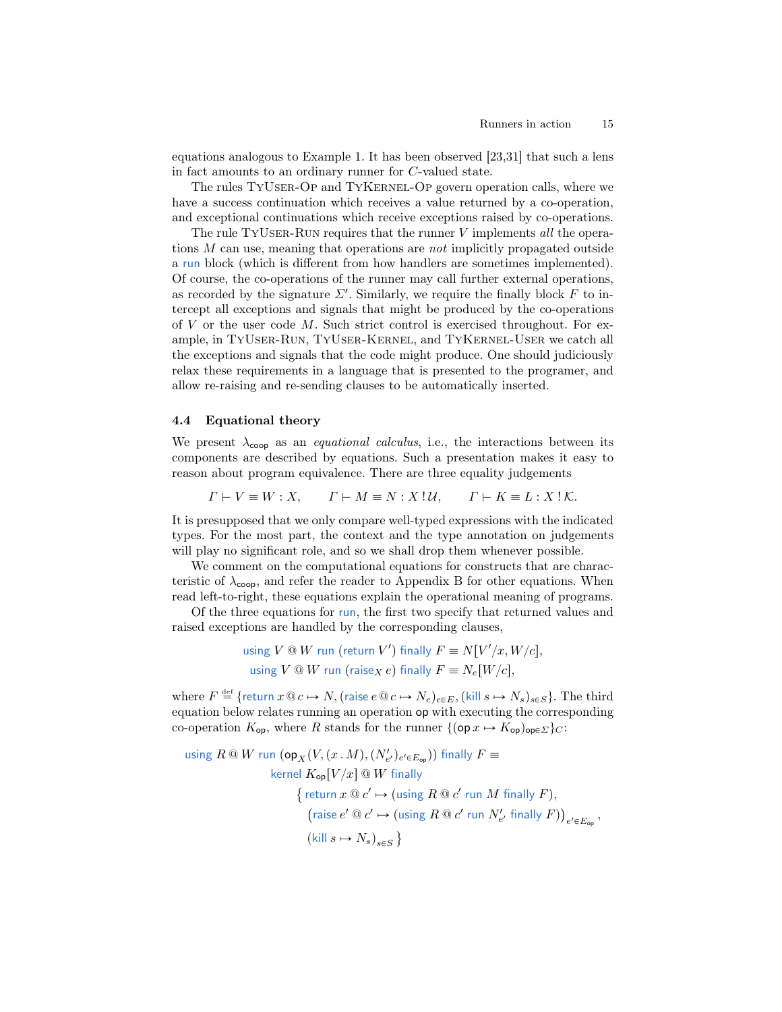,

equations analogous to [Example 1.](#page-3-0) It has been observed [\[23,](#page-26-12)[31\]](#page-26-6) that such a lens in fact amounts to an ordinary runner for C-valued state.

The rules TyUser-Op and TyKernel-Op govern operation calls, where we have a success continuation which receives a value returned by a co-operation, and exceptional continuations which receive exceptions raised by co-operations.

The rule TYUSER-RUN requires that the runner  $V$  implements all the operations M can use, meaning that operations are not implicitly propagated outside a run block (which is different from how handlers are sometimes implemented). Of course, the co-operations of the runner may call further external operations, as recorded by the signature  $\Sigma'$ . Similarly, we require the finally block  $F$  to intercept all exceptions and signals that might be produced by the co-operations of  $V$  or the user code  $M$ . Such strict control is exercised throughout. For example, in TyUser-Run, TyUser-Kernel, and TyKernel-User we catch all the exceptions and signals that the code might produce. One should judiciously relax these requirements in a language that is presented to the programer, and allow re-raising and re-sending clauses to be automatically inserted.

## <span id="page-14-0"></span>4.4 Equational theory

We present  $\lambda_{\rm coop}$  as an *equational calculus*, i.e., the interactions between its components are described by equations. Such a presentation makes it easy to reason about program equivalence. There are three equality judgements

$$
\Gamma \vdash V \equiv W : X, \qquad \Gamma \vdash M \equiv N : X ! U, \qquad \Gamma \vdash K \equiv L : X ! K.
$$

It is presupposed that we only compare well-typed expressions with the indicated types. For the most part, the context and the type annotation on judgements will play no significant role, and so we shall drop them whenever possible.

We comment on the computational equations for constructs that are characteristic of  $\lambda_{\text{coop}}$ , and refer the reader to [Appendix B](#page-27-3) for other equations. When read left-to-right, these equations explain the operational meaning of programs.

Of the three equations for run, the first two specify that returned values and raised exceptions are handled by the corresponding clauses,

using 
$$
V \t{Q} W
$$
 run (return  $V'$ ) finally  $F \equiv N[V'/x, W/c]$ ,  
using  $V \t{Q} W$  run (raise $\chi$  e) finally  $F \equiv N_e[W/c]$ ,

where  $F \stackrel{\text{def}}{=} \{$ return  $x @ c \mapsto N, (\text{raise } e @ c \mapsto N_e)_{e \in E}, (\text{kill } s \mapsto N_s)_{s \in S}\}.$  The third equation below relates running an operation op with executing the corresponding co-operation  $K_{op}$ , where R stands for the runner  $\{(\text{op } x \mapsto K_{op})_{op \in \Sigma}\}_C$ :

using 
$$
R \t\t\t@ W
$$
 run  $(\text{op}_X(V, (x \cdot M), (N'_{e'})_{e' \in E_{\text{op}}}))$  finally  $F \equiv$   
\nkernel  $K_{\text{op}}[V/x] \t\t@ W$  finally  
\n{ return  $x \t\t\t@ C' \rightarrow$  (using  $R \t\t\t@ C'$  run  $M$  finally  $F$ ),  
\n(raise  $e' \t\t\t@ C' \rightarrow$  (using  $R \t\t\t@ C'$  run  $N'_{e'}$  finally  $F$ )) $e' \in E_{\text{op}}$   
\n(kill  $s \mapsto N_s$ ) <sub>$s \in S$</sub> }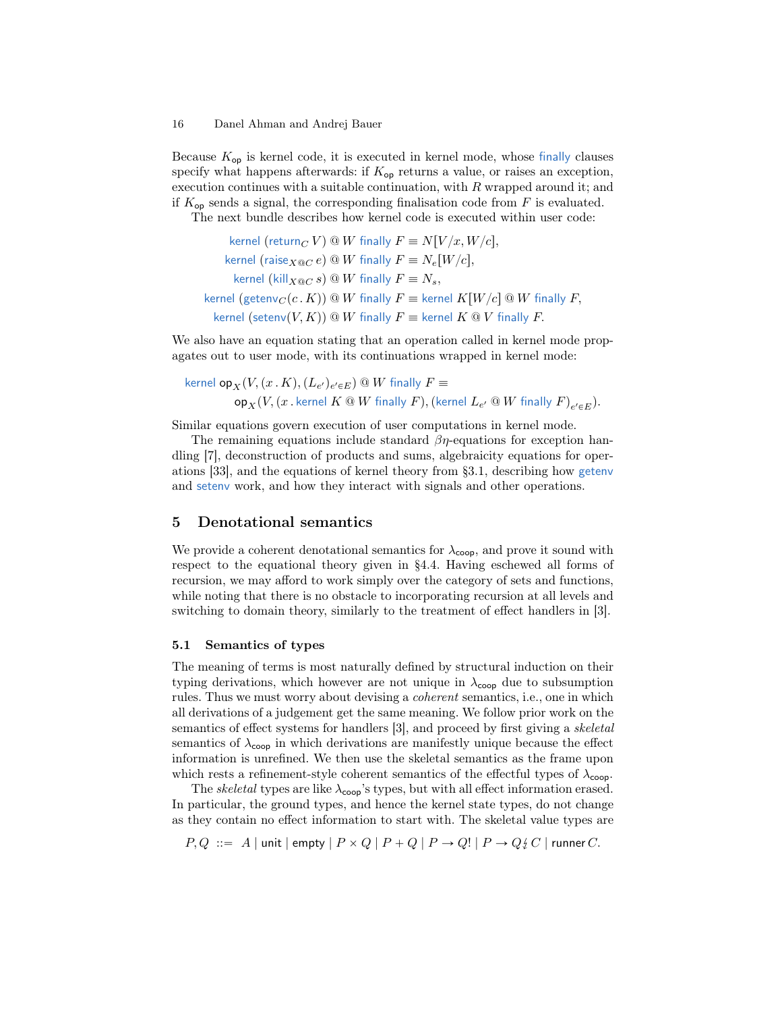Because  $K_{op}$  is kernel code, it is executed in kernel mode, whose finally clauses specify what happens afterwards: if  $K_{op}$  returns a value, or raises an exception, execution continues with a suitable continuation, with R wrapped around it; and if  $K_{op}$  sends a signal, the corresponding finalisation code from F is evaluated.

The next bundle describes how kernel code is executed within user code:

```
kernel (return_C V) \mathcal{Q} W finally F \equiv N[V/x, W/c],kernel (raise_{X \otimes C} e) \circledcirc W finally F \equiv N_e[W/c],kernel (kill_{X@C} s) @ W finally F \equiv N_s,
kernel (getenvC(c, K)) @ W finally F \equiv kernel K[W/c] @ W finally F,
  kernel (setenv(V, K)) @ W finally F \equiv kernel K \otimes V finally F.
```
We also have an equation stating that an operation called in kernel mode propagates out to user mode, with its continuations wrapped in kernel mode:

$$
\begin{aligned}\n\text{kernel op}_X(V, (x, K), (L_{e'})_{e' \in E}) \, \textcircled{a} \, W \, \text{finally} \, F &= \\
&\text{op}_X(V, (x \, \text{kernel } K \, \textcircled{a} \, W \, \text{finally } F), (\text{kernel } L_{e'} \, \textcircled{a} \, W \, \text{finally } F)_{e' \in E}).\n\end{aligned}
$$

Similar equations govern execution of user computations in kernel mode.

The remaining equations include standard  $\beta\eta$ -equations for exception handling [\[7\]](#page-25-5), deconstruction of products and sums, algebraicity equations for operations [\[33\]](#page-26-13), and the equations of kernel theory from [§3.1,](#page-6-2) describing how getenv and setenv work, and how they interact with signals and other operations.

#### <span id="page-15-0"></span>5 Denotational semantics

We provide a coherent denotational semantics for  $\lambda_{\text{coop}}$ , and prove it sound with respect to the equational theory given in [§4.4.](#page-14-0) Having eschewed all forms of recursion, we may afford to work simply over the category of sets and functions, while noting that there is no obstacle to incorporating recursion at all levels and switching to domain theory, similarly to the treatment of effect handlers in [\[3\]](#page-25-6).

## <span id="page-15-1"></span>5.1 Semantics of types

The meaning of terms is most naturally defined by structural induction on their typing derivations, which however are not unique in  $\lambda_{\text{coop}}$  due to subsumption rules. Thus we must worry about devising a coherent semantics, i.e., one in which all derivations of a judgement get the same meaning. We follow prior work on the semantics of effect systems for handlers [\[3\]](#page-25-6), and proceed by first giving a skeletal semantics of  $\lambda_{\text{coop}}$  in which derivations are manifestly unique because the effect information is unrefined. We then use the skeletal semantics as the frame upon which rests a refinement-style coherent semantics of the effectful types of  $\lambda_{\text{coop}}$ .

The skeletal types are like  $\lambda_{\text{coop}}$ 's types, but with all effect information erased. In particular, the ground types, and hence the kernel state types, do not change as they contain no effect information to start with. The skeletal value types are

 $P, Q ::= A \mid \text{unit} \mid \text{empty} \mid P \times Q \mid P + Q \mid P \rightarrow Q! \mid P \rightarrow Q \nmid C \mid \text{runner } C.$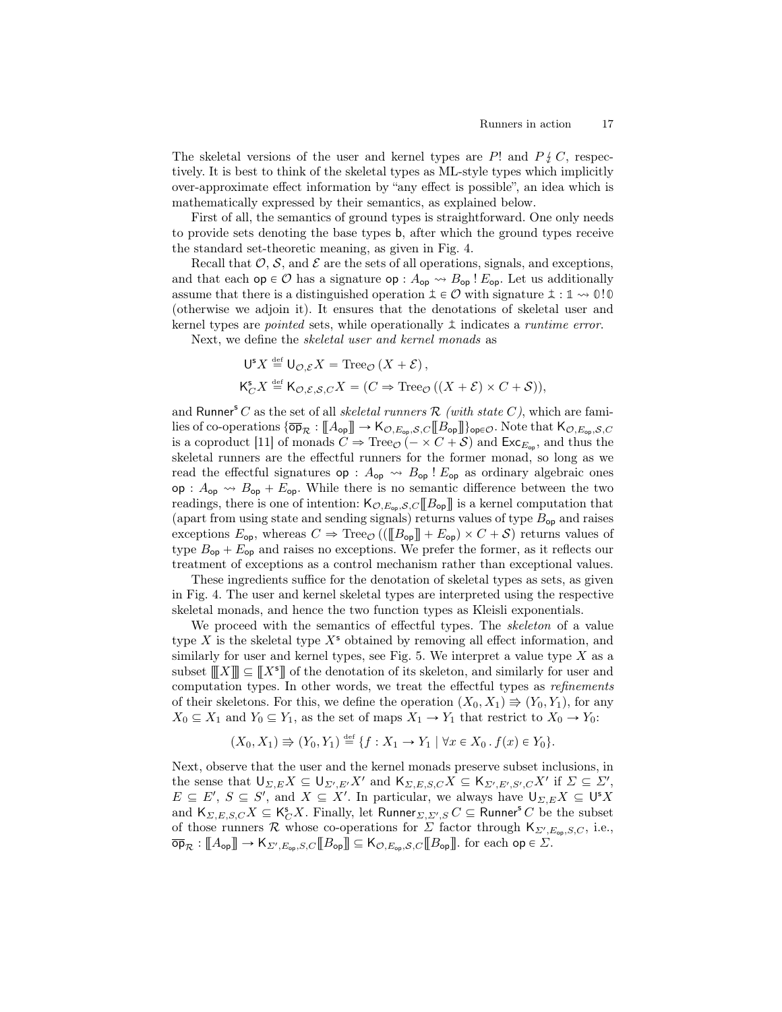The skeletal versions of the user and kernel types are P! and  $P \nsubseteq C$ , respectively. It is best to think of the skeletal types as ML-style types which implicitly over-approximate effect information by "any effect is possible", an idea which is mathematically expressed by their semantics, as explained below.

First of all, the semantics of ground types is straightforward. One only needs to provide sets denoting the base types b, after which the ground types receive the standard set-theoretic meaning, as given in [Fig. 4.](#page-17-0)

Recall that  $\mathcal{O}, \mathcal{S}$ , and  $\mathcal{E}$  are the sets of all operations, signals, and exceptions, and that each  $op \in \mathcal{O}$  has a signature  $op : A_{op} \leadsto B_{op}$ !  $E_{op}$ . Let us additionally assume that there is a distinguished operation  $\bot \in \mathcal{O}$  with signature  $\bot : \bot \leadsto \mathbb{0}$ !0 (otherwise we adjoin it). It ensures that the denotations of skeletal user and kernel types are *pointed* sets, while operationally  $\pm$  indicates a *runtime error*.

Next, we define the skeletal user and kernel monads as

$$
\begin{aligned} \mathsf{U}^{\mathsf{s}} X \stackrel{\text{def}}{=} \mathsf{U}_{\mathcal{O},\mathcal{E}} X &= \text{Tree}_{\mathcal{O}} \left( X + \mathcal{E} \right), \\ \mathsf{K}_{\mathcal{C}}^{\mathsf{s}} X \stackrel{\text{def}}{=} \mathsf{K}_{\mathcal{O},\mathcal{E},\mathcal{S},\mathcal{C}} X &= (C \Rightarrow \text{Tree}_{\mathcal{O}} \left( (X + \mathcal{E}) \times C + \mathcal{S} \right)), \end{aligned}
$$

and Runner<sup>s</sup> C as the set of all *skeletal runners* R (with state C), which are families of co-operations  $\{\overline{\mathsf{op}}_{\mathcal{R}} : [\![A_{\mathsf{op}}]\!] \to \mathsf{K}_{\mathcal{O},E_{\mathsf{op}},\mathcal{S},C} [\![B_{\mathsf{op}}]\!] \}_{\mathsf{op} \in \mathcal{O}}$ . Note that  $\mathsf{K}_{\mathcal{O},E_{\mathsf{op}},\mathcal{S},C}$ is a coproduct [\[11\]](#page-25-4) of monads  $C \Rightarrow \text{Tree}_{\mathcal{O}}(- \times C + \mathcal{S})$  and  $\text{Exc}_{E_{op}}$ , and thus the skeletal runners are the effectful runners for the former monad, so long as we read the effectful signatures  $op : A_{op} \leadsto B_{op}$ !  $E_{op}$  as ordinary algebraic ones op :  $A_{op} \leadsto B_{op} + E_{op}$ . While there is no semantic difference between the two readings, there is one of intention:  $K_{\mathcal{O},E_{\text{op}},\mathcal{S},C}[[B_{\text{op}}]]$  is a kernel computation that (apart from using state and sending signals) returns values of type  $B_{op}$  and raises exceptions  $E_{op}$ , whereas  $C \Rightarrow \text{Tree}_{\mathcal{O}}((\llbracket B_{op} \rrbracket + E_{op}) \times C + \mathcal{S})$  returns values of type  $B_{op} + E_{op}$  and raises no exceptions. We prefer the former, as it reflects our treatment of exceptions as a control mechanism rather than exceptional values.

These ingredients suffice for the denotation of skeletal types as sets, as given in [Fig. 4.](#page-17-0) The user and kernel skeletal types are interpreted using the respective skeletal monads, and hence the two function types as Kleisli exponentials.

We proceed with the semantics of effectful types. The *skeleton* of a value type X is the skeletal type  $X^s$  obtained by removing all effect information, and similarly for user and kernel types, see [Fig. 5.](#page-18-0) We interpret a value type  $X$  as a subset  $\llbracket X \rrbracket \subseteq \llbracket X^s \rrbracket$  of the denotation of its skeleton, and similarly for user and computation types. In other words, we treat the effectful types as refinements of their skeletons. For this, we define the operation  $(X_0, X_1) \Rightarrow (Y_0, Y_1)$ , for any  $X_0 \subseteq X_1$  and  $Y_0 \subseteq Y_1$ , as the set of maps  $X_1 \to Y_1$  that restrict to  $X_0 \to Y_0$ :

$$
(X_0, X_1) \Rightarrow (Y_0, Y_1) \stackrel{\text{def}}{=} \{f : X_1 \to Y_1 \mid \forall x \in X_0 \,.\, f(x) \in Y_0\}.
$$

Next, observe that the user and the kernel monads preserve subset inclusions, in the sense that  $\bigcup_{\Sigma,E} X \subseteq \bigcup_{\Sigma',E'} X'$  and  $K_{\Sigma,E,S,C} X \subseteq K_{\Sigma',E',S',C} X'$  if  $\Sigma \subseteq \Sigma'$ ,  $E \subseteq E'$ ,  $S \subseteq S'$ , and  $X \subseteq X'$ . In particular, we always have  $\bigcup_{\Sigma,E} X \subseteq \bigcup^s X$ and  $\mathsf{K}_{\Sigma,E,S,C}X\subseteq \mathsf{K}^{\mathsf{s}}_{C}X$ . Finally, let  $\mathsf{Runner}_{\Sigma,\Sigma',S}C\subseteq \mathsf{Runner}^{\mathsf{s}}C$  be the subset of those runners R whose co-operations for  $\Sigma$  factor through  $\mathsf{K}_{\Sigma',E_{\mathsf{op}},S,C}$ , i.e.,  $\overline{\mathsf{op}}_{\mathcal{R}} : [\![A_\mathsf{op}]\!] \to \mathsf{K}_{\varSigma',E_\mathsf{op},S,C} [\![B_\mathsf{op}]\!] \subseteq \mathsf{K}_{\mathcal{O},E_\mathsf{op},\mathcal{S},C} [\![B_\mathsf{op}]\!] .$  for each  $\mathsf{op} \in \varSigma.$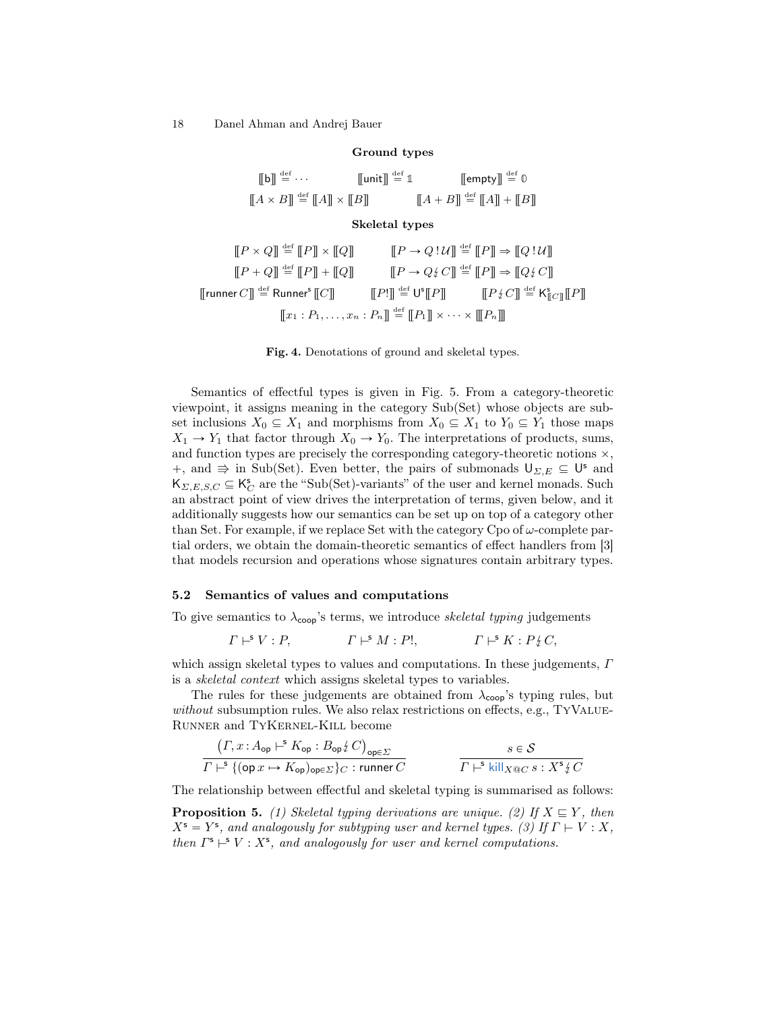#### Ground types

$$
\begin{aligned}\n\llbracket \mathbf{b} \rrbracket \stackrel{\text{def}}{=} \cdots & \llbracket \mathsf{unit} \rrbracket \stackrel{\text{def}}{=} \mathbb{1} & \llbracket \mathsf{empty} \rrbracket \stackrel{\text{def}}{=} \mathbb{0} \\
\llbracket A \times B \rrbracket \stackrel{\text{def}}{=} \llbracket A \rrbracket \times \llbracket B \rrbracket & \llbracket A + B \rrbracket \stackrel{\text{def}}{=} \llbracket A \rrbracket + \llbracket B \rrbracket\n\end{aligned}
$$

Skeletal types

 $\llbracket P \times Q \rrbracket \stackrel{\text{def}}{=} \llbracket P \rrbracket \times \llbracket Q \rrbracket \qquad \qquad \llbracket P \to Q \, !\, \mathcal{U} \rrbracket \stackrel{\text{def}}{=} \llbracket P \rrbracket \Rightarrow \llbracket Q \, !\, \mathcal{U} \rrbracket$  $[ \begin{array}{cc} [P + Q]] \stackrel{\text{def}}{=} [P] + [Q] \end{array} \qquad \qquad [ \begin{array}{cc} [P \to Q \, \ell \, C] \stackrel{\text{def}}{=} [P] \to [Q \, \ell \, C] \end{array}$ <br>er C'll  $\stackrel{\text{def}}{=}$  Runner<sup>s</sup>  $[ \begin{array}{cc} [C] \end{array} \qquad \qquad [P] \cdot [P] \stackrel{\text{def}}{=} \mathbf{U}^s [P] \qquad \qquad [P \, \ell \, C] \stackrel{\text{def}}{=} \mathbf{K}_{n}^s.$  $\llbracket$ runner  $C \rrbracket \stackrel{\text{def}}{=} \mathsf{Runner}^s \llbracket C \rrbracket$  $\llbracket C \rrbracket$   $\llbracket P! \rrbracket \stackrel{\text{def}}{=} \mathsf{U}^{\mathsf{s}}$  $\llbracket P \rrbracket$   $\llbracket P \nmid C \rrbracket \stackrel{\text{def}}{=} \mathsf{K}_{\llbracket C \rrbracket}^{\mathsf{s}} \llbracket P \rrbracket$  $\llbracket x_1 : P_1, \ldots, x_n : P_n \rrbracket \stackrel{\text{def}}{=} \llbracket P_1 \rrbracket \times \cdots \times \llbracket P_n \rrbracket$ 

<span id="page-17-0"></span>Fig. 4. Denotations of ground and skeletal types.

Semantics of effectful types is given in [Fig. 5.](#page-18-0) From a category-theoretic viewpoint, it assigns meaning in the category  $\text{Sub}(Set)$  whose objects are subset inclusions  $X_0 \subseteq X_1$  and morphisms from  $X_0 \subseteq X_1$  to  $Y_0 \subseteq Y_1$  those maps  $X_1 \rightarrow Y_1$  that factor through  $X_0 \rightarrow Y_0$ . The interpretations of products, sums, and function types are precisely the corresponding category-theoretic notions  $\times$ , +, and  $\Rightarrow$  in Sub(Set). Even better, the pairs of submonads  $\bigcup_{\Sigma,E} \subseteq \bigcup^s$  and  $\mathsf{K}_{\Sigma,E,S,C} \subseteq \mathsf{K}_C^s$  are the "Sub(Set)-variants" of the user and kernel monads. Such an abstract point of view drives the interpretation of terms, given below, and it additionally suggests how our semantics can be set up on top of a category other than Set. For example, if we replace Set with the category Cpo of  $\omega$ -complete partial orders, we obtain the domain-theoretic semantics of effect handlers from [\[3\]](#page-25-6) that models recursion and operations whose signatures contain arbitrary types.

# 5.2 Semantics of values and computations

To give semantics to  $\lambda_{\text{coop}}$ 's terms, we introduce skeletal typing judgements

$$
\Gamma \vdash^{\mathsf{S}} V : P
$$
,  $\Gamma \vdash^{\mathsf{S}} M : P!$ ,  $\Gamma \vdash^{\mathsf{S}} K : P \nless C$ ,

which assign skeletal types to values and computations. In these judgements, Γ is a skeletal context which assigns skeletal types to variables.

The rules for these judgements are obtained from  $\lambda_{\mathsf{coop}}$ 's typing rules, but without subsumption rules. We also relax restrictions on effects, e.g., TYVALUE-RUNNER and TYKERNEL-KILL become

$$
\frac{\left(\Gamma, x : A_{\text{op}} \vdash^{s} K_{\text{op}} : B_{\text{op}} \nmid C\right)}{\Gamma \vdash^{s} \{ (\text{op } x \mapsto K_{\text{op}})_{\text{op}} \in \Sigma \} C : \text{ranner } C} \qquad \qquad \frac{s \in \mathcal{S}}{\Gamma \vdash^{s} \text{kill}_{X \otimes C} s : X^{s} \nmid C}
$$

The relationship between effectful and skeletal typing is summarised as follows:

**Proposition 5.** (1) Skeletal typing derivations are unique. (2) If  $X \subseteq Y$ , then  $X^{\mathsf{s}} = Y^{\mathsf{s}}$ , and analogously for subtyping user and kernel types. (3) If  $\Gamma \vdash V : X$ , then  $\Gamma^{\mathsf{s}} \vdash^{\mathsf{s}} V : X^{\mathsf{s}}$ , and analogously for user and kernel computations.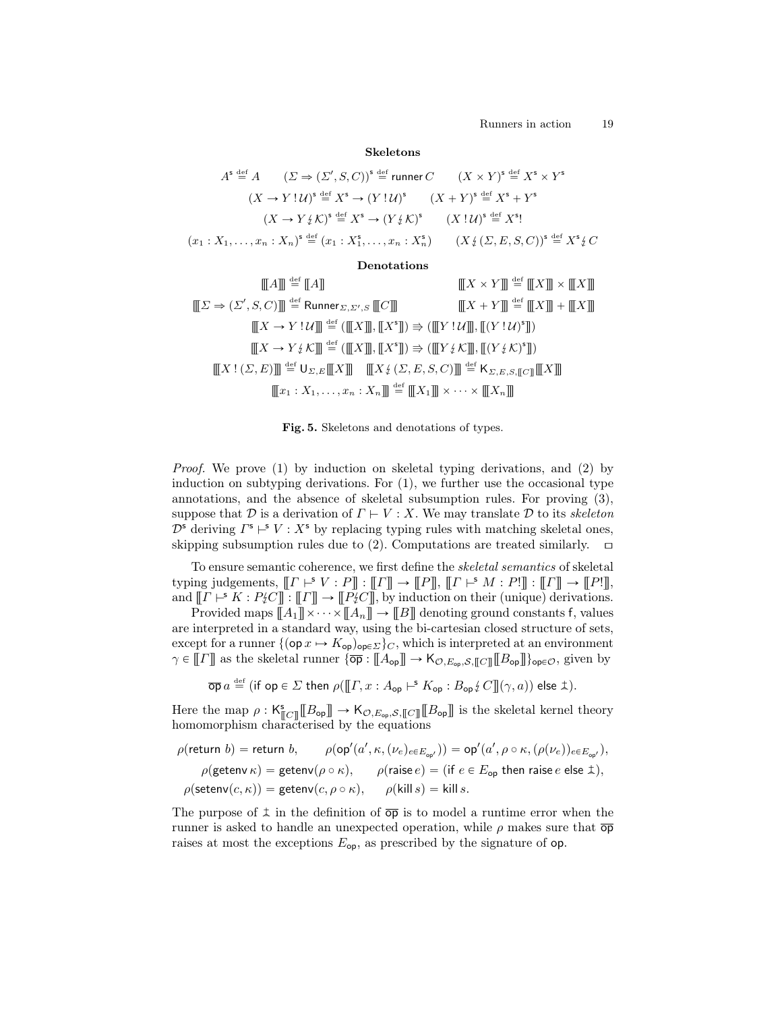#### Skeletons

$$
A^{\mathsf{s}} \stackrel{\text{def}}{=} A \qquad \left(\Sigma \Rightarrow (\Sigma', S, C)\right)^{\mathsf{s}} \stackrel{\text{def}}{=} \text{rinner } C \qquad (X \times Y)^{\mathsf{s}} \stackrel{\text{def}}{=} X^{\mathsf{s}} \times Y^{\mathsf{s}}
$$
\n
$$
(X \to Y \, ! \, U)^{\mathsf{s}} \stackrel{\text{def}}{=} X^{\mathsf{s}} \to (Y \, ! \, U)^{\mathsf{s}} \qquad (X + Y)^{\mathsf{s}} \stackrel{\text{def}}{=} X^{\mathsf{s}} + Y^{\mathsf{s}}
$$
\n
$$
(X \to Y \, \sharp \, K)^{\mathsf{s}} \stackrel{\text{def}}{=} X^{\mathsf{s}} \to (Y \, \sharp \, K)^{\mathsf{s}} \qquad (X \, ! \, U)^{\mathsf{s}} \stackrel{\text{def}}{=} X^{\mathsf{s}}!
$$
\n
$$
(x_1 : X_1, \dots, x_n : X_n)^{\mathsf{s}} \stackrel{\text{def}}{=} (x_1 : X_1^{\mathsf{s}}, \dots, x_n : X_n^{\mathsf{s}}) \qquad (X \, \sharp \, (\Sigma, E, S, C))^{\mathsf{s}} \stackrel{\text{def}}{=} X^{\mathsf{s}} \, \sharp \, C
$$

Denotations

 $\llbracket A \rrbracket \stackrel{\text{def}}{=} \llbracket A \rrbracket$   $\llbracket X \times Y \rrbracket \stackrel{\text{def}}{=} \llbracket X \rrbracket \times \llbracket X \rrbracket$  $\llbracket \Sigma \Rightarrow (\Sigma', S, C) \rrbracket \stackrel{\text{def}}{=}$  Runner $_{\Sigma, \Sigma'}$  $\Vert X + Y \Vert \overset{\text{def}}{=} \Vert X \Vert + \Vert X \Vert$  $\llbracket X \to Y : \mathcal{U} \rrbracket \stackrel{\text{def}}{=} (\llbracket X \rrbracket, \llbracket X^s \rrbracket) \Rightarrow (\llbracket Y : \mathcal{U} \rrbracket, \llbracket (Y : \mathcal{U})^s \rrbracket)$  $\llbracket X \to Y \nmid \mathcal{K} \rrbracket \stackrel{\text{def}}{=} (\llbracket X \rrbracket, \llbracket X^s \rrbracket) \Rightarrow (\llbracket Y \nmid \mathcal{K} \rrbracket, \llbracket (Y \nmid \mathcal{K})^s \rrbracket)$  $\llbracket X : (\Sigma, E) \rrbracket \stackrel{\text{def}}{=} \mathsf{U}_{\Sigma,E} \llbracket X \rrbracket \quad \llbracket X \{ (\Sigma, E, S, C) \rrbracket \stackrel{\text{def}}{=} \mathsf{K}_{\Sigma,E,S,\llbracket C \rrbracket} \llbracket X \rrbracket$  $\Vert x_1 : X_1, \ldots, x_n : X_n \Vert \stackrel{\text{def}}{=} \Vert X_1 \Vert \times \cdots \times \Vert X_n \Vert$ 

<span id="page-18-0"></span>Fig. 5. Skeletons and denotations of types.

Proof. We prove (1) by induction on skeletal typing derivations, and (2) by induction on subtyping derivations. For (1), we further use the occasional type annotations, and the absence of skeletal subsumption rules. For proving (3), suppose that D is a derivation of  $\Gamma \vdash V : X$ . We may translate D to its skeleton  $\mathcal{D}^{\mathsf{s}}$  deriving  $\Gamma^{\mathsf{s}} \vdash^{\mathsf{s}} V : X^{\mathsf{s}}$  by replacing typing rules with matching skeletal ones, skipping subsumption rules due to (2). Computations are treated similarly.  $\Box$ 

To ensure semantic coherence, we first define the skeletal semantics of skeletal typing judgements,  $\llbracket \Gamma \vdash^s V : P \rrbracket : \llbracket \Gamma \rrbracket \rightarrow \llbracket P \rrbracket$ ,  $\llbracket \Gamma \vdash^s M : P! \rrbracket : \llbracket \Gamma \rrbracket \rightarrow \llbracket P! \rrbracket$ , and  $\llbracket \Gamma \vdash^s K : P \sharp C \rrbracket : \llbracket \Gamma \rrbracket \rightarrow \llbracket P \sharp C \rrbracket$ , by induction on their (unique) derivations.

Provided maps  $[[A_1]] \times \cdots \times [[A_n]] \rightarrow [[B]]$  denoting ground constants f, values are interpreted in a standard way, using the bi-cartesian closed structure of sets, except for a runner  $\{(\text{op } x \mapsto K_{\text{op}})_{\text{op}}\in \Sigma\}_C$ , which is interpreted at an environment  $\gamma \in \llbracket \Gamma \rrbracket$  as the skeletal runner  $\{\overline{\mathsf{op}} : \llbracket A_{\mathsf{op}} \rrbracket \to \mathsf{K}_{\mathcal{O},E_{\mathsf{op}},\mathcal{S},\llbracket \mathcal{C} \rrbracket} \llbracket B_{\mathsf{op}} \rrbracket \}_{\mathsf{op} \in \mathcal{O}}$ , given by

 $\overline{\mathsf{op}}\,a \stackrel{\textup{def}}{=} (\mathsf{if}\,\mathsf{op}\in\varSigma\,\mathsf{then}\,\rho(\llbracket\varGamma,x:A_\mathsf{op}\vdash^{\mathsf{s}} K_\mathsf{op}\mathsf{:} B_\mathsf{op}\nmid\mathcal{C}\rrbracket(\gamma,a))\mathsf{\,else}\,\,\pm\mathsf{).}$ 

Here the map  $\rho: \mathsf{K}_{\llbracket C \rrbracket}^{\mathsf{s}}[B_{\mathsf{op}}] \to \mathsf{K}_{\mathcal{O},E_{\mathsf{op}},\mathcal{S},\llbracket C \rrbracket}[B_{\mathsf{op}}]$  is the skeletal kernel theory homomorphism characterised by the equations

$$
\rho(\text{return } b) = \text{return } b, \qquad \rho(\text{op}'(a', \kappa, (\nu_e)_{e \in E_{\text{op}'})) = \text{op}'(a', \rho \circ \kappa, (\rho(\nu_e))_{e \in E_{\text{op}}}),
$$
\n
$$
\rho(\text{getenv } \kappa) = \text{getenv}(\rho \circ \kappa), \qquad \rho(\text{raise } e) = (\text{if } e \in E_{\text{op}} \text{ then raise } e \text{ else } \pm),
$$
\n
$$
\rho(\text{setenv}(c, \kappa)) = \text{getenv}(c, \rho \circ \kappa), \qquad \rho(\text{kill } s) = \text{kill } s.
$$

The purpose of  $\pm$  in the definition of  $\overline{op}$  is to model a runtime error when the runner is asked to handle an unexpected operation, while  $\rho$  makes sure that  $\overline{op}$ raises at most the exceptions  $E_{op}$ , as prescribed by the signature of op.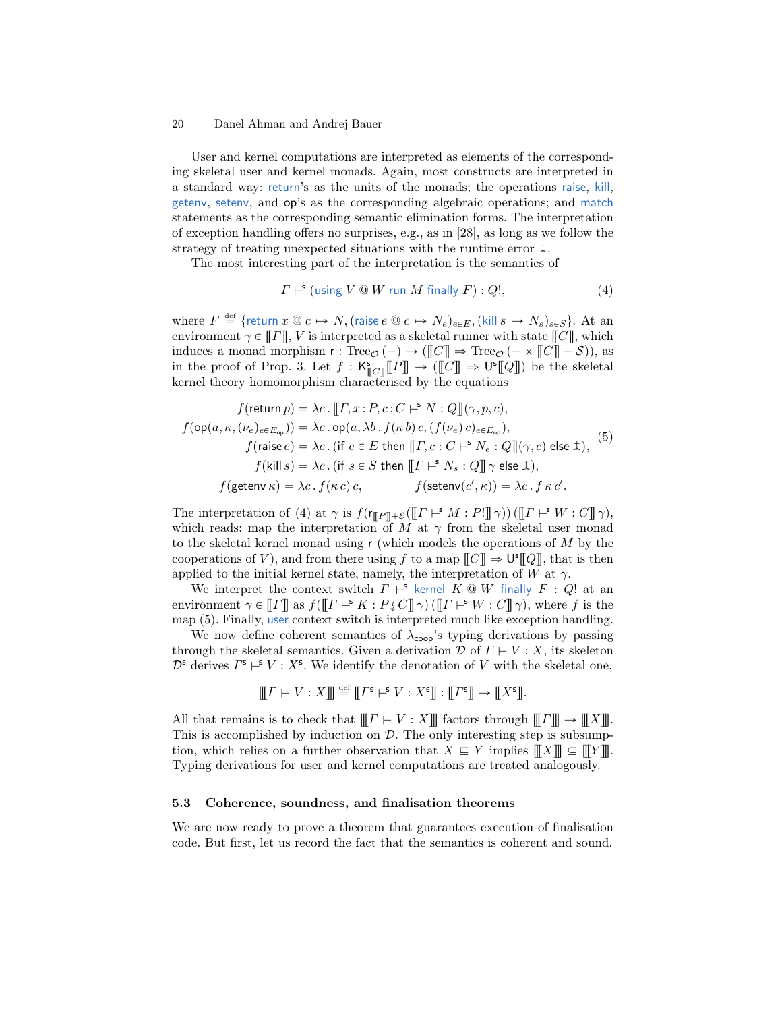User and kernel computations are interpreted as elements of the corresponding skeletal user and kernel monads. Again, most constructs are interpreted in a standard way: return's as the units of the monads; the operations raise, kill, getenv, setenv, and op's as the corresponding algebraic operations; and match statements as the corresponding semantic elimination forms. The interpretation of exception handling offers no surprises, e.g., as in [\[28\]](#page-26-3), as long as we follow the strategy of treating unexpected situations with the runtime error  $\pm$ .

The most interesting part of the interpretation is the semantics of

<span id="page-19-1"></span><span id="page-19-0"></span>
$$
\Gamma \vdash^{s} (\text{using } V \t{Q} W \text{ run } M \text{ finally } F) : Q!, \tag{4}
$$

where  $F \stackrel{\text{def}}{=} \{$  return  $x \oplus c \mapsto N$ , (raise  $e \oplus c \mapsto N_e\}_{e \in E}$ , (kill  $s \mapsto N_s$ ) $_{s \in S}$ }. At an environment  $\gamma \in \llbracket \Gamma \rrbracket$ , V is interpreted as a skeletal runner with state  $\llbracket C \rrbracket$ , which induces a monad morphism  $r : \text{Tree}_{\mathcal{O}}(-) \to (\llbracket C \rrbracket \Rightarrow \text{Tree}_{\mathcal{O}}(- \times \llbracket C \rrbracket + \mathcal{S})),$  as in the proof of Prop. [3.](#page-5-0) Let  $f: K^{\mathsf{s}}_{\llbracket C \rrbracket} \llbracket P \rrbracket \to (\llbracket C \rrbracket \Rightarrow \mathsf{U}^{\mathsf{s}} \llbracket Q \rrbracket)$  be the skeletal kernel theory homomorphism characterised by the equations

$$
f(\text{return } p) = \lambda c \cdot [\![\Gamma, x : P, c : C \vdash^{s} N : Q]\!](\gamma, p, c),
$$
  

$$
f(\text{op}(a, \kappa, (\nu_e)_{e \in E_{\text{op}}})) = \lambda c \cdot \text{op}(a, \lambda b \cdot f(\kappa b) c, (f(\nu_e) c)_{e \in E_{\text{op}}}),
$$
  

$$
f(\text{raise } e) = \lambda c \cdot (\text{if } e \in E \text{ then } [\![\Gamma, c : C \vdash^{s} N_e : Q]\!](\gamma, c) \text{ else } \bot),
$$
  

$$
f(\text{kill } s) = \lambda c \cdot (\text{if } s \in S \text{ then } [\![\Gamma \vdash^{s} N_s : Q]\!] \gamma \text{ else } \bot),
$$
  

$$
f(\text{getenv } \kappa) = \lambda c \cdot f(\kappa c) c, \qquad f(\text{setenv}(c', \kappa)) = \lambda c \cdot f \kappa c'.
$$

The interpretation of [\(4\)](#page-19-0) at  $\gamma$  is  $f(r_{\mathbb{F}P \mathbb{I} + \mathcal{E}}([\![\Gamma \models^{\mathsf{s}} M : P!]\!] \gamma))([\![\Gamma \models^{\mathsf{s}} W : C]\!] \gamma)$ , which reads: map the interpretation of M at  $\gamma$  from the skeletal user monad to the skeletal kernel monad using r (which models the operations of M by the cooperations of V), and from there using f to a map  $\llbracket C \rrbracket \Rightarrow \mathsf{U}^s \llbracket Q \rrbracket$ , that is then applied to the initial kernel state, namely, the interpretation of W at  $\gamma$ .

We interpret the context switch  $\Gamma \vdash^{\mathsf{s}}$  kernel  $K \otimes W$  finally  $F : Q!$  at an environment  $\gamma \in \llbracket \Gamma \rrbracket$  as  $f(\llbracket \Gamma \vdash^s K : P \nmid C \rrbracket \gamma) (\llbracket \Gamma \vdash^s W : C \rrbracket \gamma)$ , where f is the map [\(5\)](#page-19-1). Finally, user context switch is interpreted much like exception handling.

We now define coherent semantics of  $\lambda_{\text{coop}}$ 's typing derivations by passing through the skeletal semantics. Given a derivation  $\mathcal D$  of  $\Gamma \vdash V : X$ , its skeleton  $\mathcal{D}^{\mathsf{s}}$  derives  $\Gamma^{\mathsf{s}} \vdash^{\mathsf{s}} V : X^{\mathsf{s}}$ . We identify the denotation of V with the skeletal one,

$$
T\llbracket \Gamma\vdash V:X\rrbracket\overset{\text{\tiny def}}{=}\llbracket \varGamma^{\mathsf{s}}\vdash^{\mathsf{s}} V:X^{\mathsf{s}}\rrbracket:\llbracket \varGamma^{\mathsf{s}}\rrbracket\to \llbracket X^{\mathsf{s}}\rrbracket.
$$

All that remains is to check that  $\llbracket \llbracket \Gamma \vdash V : X \rrbracket$  factors through  $\llbracket \llbracket \Gamma \rrbracket \rightarrow \llbracket X \rrbracket$ . This is accomplished by induction on  $\mathcal{D}$ . The only interesting step is subsumption, which relies on a further observation that  $X \subseteq Y$  implies  $\llbracket X \rrbracket \subseteq \llbracket Y \rrbracket$ . Typing derivations for user and kernel computations are treated analogously.

## 5.3 Coherence, soundness, and finalisation theorems

We are now ready to prove a theorem that guarantees execution of finalisation code. But first, let us record the fact that the semantics is coherent and sound.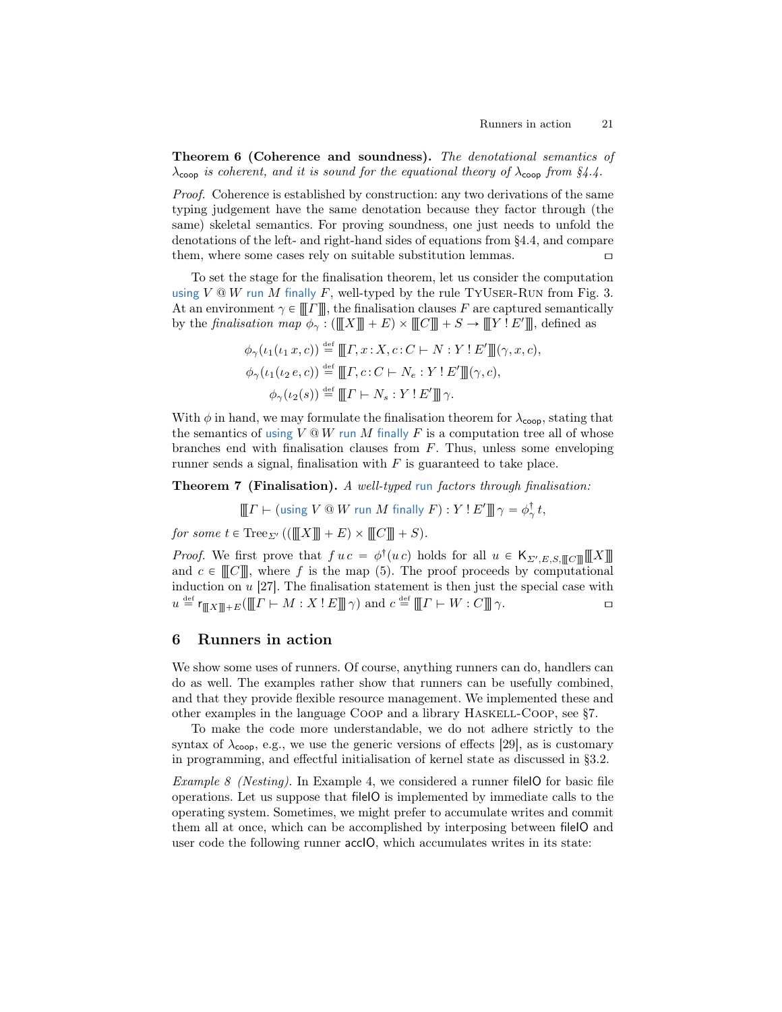Theorem 6 (Coherence and soundness). The denotational semantics of  $\lambda_{\text{coop}}$  is coherent, and it is sound for the equational theory of  $\lambda_{\text{coop}}$  from [§4.4.](#page-14-0)

Proof. Coherence is established by construction: any two derivations of the same typing judgement have the same denotation because they factor through (the same) skeletal semantics. For proving soundness, one just needs to unfold the denotations of the left- and right-hand sides of equations from [§4.4,](#page-14-0) and compare them, where some cases rely on suitable substitution lemmas.  $\Box$ 

To set the stage for the finalisation theorem, let us consider the computation using  $V \t W$  run M finally F, well-typed by the rule TYUSER-RUN from [Fig. 3.](#page-13-0) At an environment  $\gamma \in \llbracket \llbracket \Gamma \rrbracket$ , the finalisation clauses F are captured semantically by the *finalisation map*  $\phi_{\gamma} : (\llbracket X \rrbracket + E) \times \llbracket \llbracket C \rrbracket + S \to \llbracket Y : E' \rrbracket$ , defined as

$$
\begin{aligned}\n\phi_{\gamma}(\iota_1(\iota_1 x, c)) &\stackrel{\text{def}}{=} \left[ \llbracket \Gamma, x : X, c : C \vdash N : Y : E' \rrbracket(\gamma, x, c), \right. \\
\phi_{\gamma}(\iota_1(\iota_2 e, c)) &\stackrel{\text{def}}{=} \left[ \llbracket \Gamma, c : C \vdash N_e : Y : E' \rrbracket(\gamma, c), \right. \\
\phi_{\gamma}(\iota_2(s)) &\stackrel{\text{def}}{=} \left[ \llbracket \Gamma \vdash N_s : Y : E' \rrbracket \right] \gamma.\n\end{aligned}
$$

With  $\phi$  in hand, we may formulate the finalisation theorem for  $\lambda_{\text{coop}}$ , stating that the semantics of using  $V @ W$  run M finally F is a computation tree all of whose branches end with finalisation clauses from  $F$ . Thus, unless some enveloping runner sends a signal, finalisation with  $F$  is guaranteed to take place.

<span id="page-20-1"></span>Theorem 7 (Finalisation). A well-typed run factors through finalisation:

 $\llbracket I \rvert \vdash (\text{using } V \t\t\t\t@ W \text{ run } M \text{ finally } F) : Y ! E' \rrbracket \gamma = \phi_{\gamma}^{\dagger} t,$ 

for some  $t \in \text{Tree}_{\Sigma'} ((\llbracket X \rrbracket + E) \times \llbracket C \rrbracket + S).$ 

*Proof.* We first prove that  $f u c = \phi^{\dagger}(u c)$  holds for all  $u \in K_{\Sigma', E, S, \mathbb{R} \cap \mathbb{C} \mathbb{R}} [\mathbb{X} \mathbb{R}]$ and  $c \in \llbracket C \rrbracket$ , where f is the map [\(5\)](#page-19-1). The proof proceeds by computational induction on u [\[27\]](#page-26-14). The finalisation statement is then just the special case with  $u \stackrel{\text{def}}{=} \mathsf{r}_{\mathbb{I}\mathbb{I}}\mathbb{I}_{X\mathbb{I}} + E(\mathbb{I}\mathbb{I}\Gamma \vdash M : X \,!\mathbb{I}\,\mathbb{E}\mathbb{I}\mathbb{I})$  and  $c \stackrel{\text{def}}{=} \mathbb{I}\mathbb{I}\Gamma \vdash W : C\mathbb{I}\mathbb{I}\gamma$ .

# <span id="page-20-0"></span>6 Runners in action

We show some uses of runners. Of course, anything runners can do, handlers can do as well. The examples rather show that runners can be usefully combined, and that they provide flexible resource management. We implemented these and other examples in the language Coop and a library Haskell-Coop, see [§7.](#page-23-0)

To make the code more understandable, we do not adhere strictly to the syntax of  $\lambda_{\text{coop}}$ , e.g., we use the generic versions of effects [\[29\]](#page-26-10), as is customary in programming, and effectful initialisation of kernel state as discussed in [§3.2.](#page-7-1)

*Example 8 (Nesting)*. In [Example 4,](#page-8-1) we considered a runner file IO for basic file operations. Let us suppose that fileIO is implemented by immediate calls to the operating system. Sometimes, we might prefer to accumulate writes and commit them all at once, which can be accomplished by interposing between fileIO and user code the following runner accIO, which accumulates writes in its state: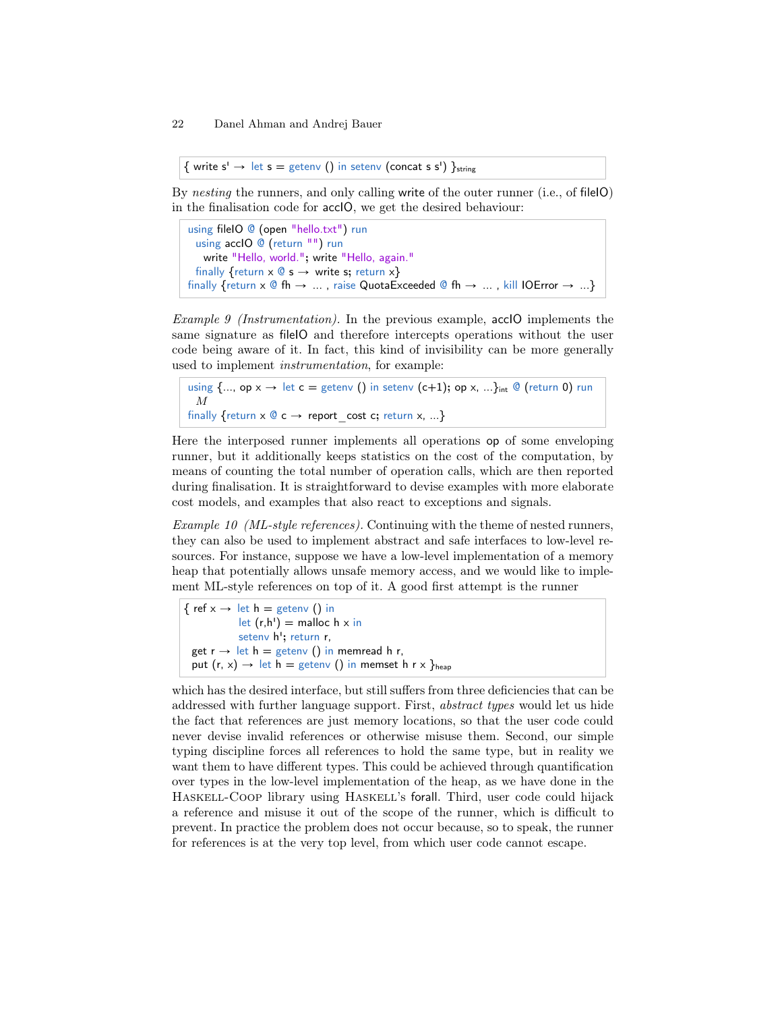{ write  $s' \rightarrow$  let  $s =$  getenv () in setenv (concat s s') }string

By nesting the runners, and only calling write of the outer runner (i.e., of fileIO) in the finalisation code for accIO, we get the desired behaviour:

```
using fileIO @ (open "hello.txt") run
 using accIO @ (return "") run
   write "Hello, world."; write "Hello, again."
 finally {return x \circledcirc s \rightarrow write s; return x}
finally {return x @ fh \rightarrow ..., raise QuotaExceeded @ fh \rightarrow ..., kill IOError \rightarrow ...}
```
Example 9 (Instrumentation). In the previous example, accIO implements the same signature as fileIO and therefore intercepts operations without the user code being aware of it. In fact, this kind of invisibility can be more generally used to implement instrumentation, for example:

```
using \{..., op x \to \text{let } c = \text{getenv } () in setenv (c+1); op x, ...\}<sub>int</sub> @ (return 0) run
  M
finally {return x \in \mathbb{C} \rightarrow report_cost c; return x, ...}
```
Here the interposed runner implements all operations op of some enveloping runner, but it additionally keeps statistics on the cost of the computation, by means of counting the total number of operation calls, which are then reported during finalisation. It is straightforward to devise examples with more elaborate cost models, and examples that also react to exceptions and signals.

Example 10 (ML-style references). Continuing with the theme of nested runners, they can also be used to implement abstract and safe interfaces to low-level resources. For instance, suppose we have a low-level implementation of a memory heap that potentially allows unsafe memory access, and we would like to implement ML-style references on top of it. A good first attempt is the runner

```
{ ref x \rightarrow let h = getenv () in
             let (r,h') = malloc h x in
             setenv h'; return r,
 get r \rightarrow let h = getenv () in memread h r,
 put (r, x) \rightarrow let h = getenv () in memset h r x \}<sub>heap</sub>
```
which has the desired interface, but still suffers from three deficiencies that can be addressed with further language support. First, abstract types would let us hide the fact that references are just memory locations, so that the user code could never devise invalid references or otherwise misuse them. Second, our simple typing discipline forces all references to hold the same type, but in reality we want them to have different types. This could be achieved through quantification over types in the low-level implementation of the heap, as we have done in the Haskell-Coop library using Haskell's forall. Third, user code could hijack a reference and misuse it out of the scope of the runner, which is difficult to prevent. In practice the problem does not occur because, so to speak, the runner for references is at the very top level, from which user code cannot escape.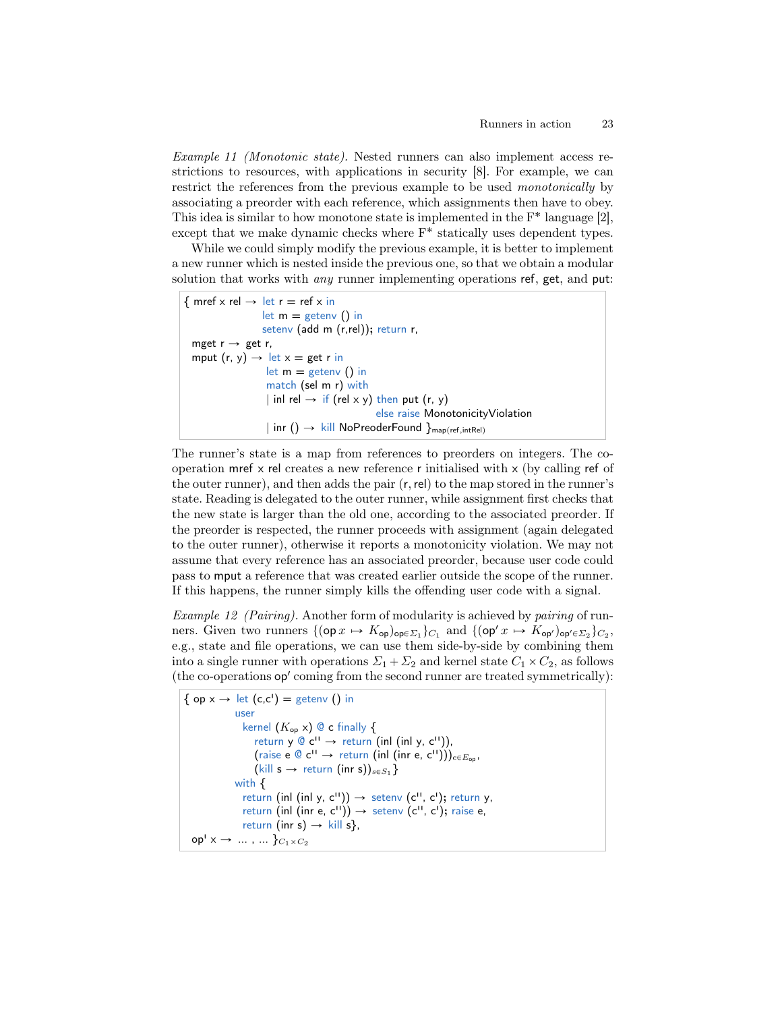Example 11 (Monotonic state). Nested runners can also implement access restrictions to resources, with applications in security [\[8\]](#page-25-8). For example, we can restrict the references from the previous example to be used monotonically by associating a preorder with each reference, which assignments then have to obey. This idea is similar to how monotone state is implemented in the  $F^*$  language  $[2]$ , except that we make dynamic checks where  $F^*$  statically uses dependent types.

While we could simply modify the previous example, it is better to implement a new runner which is nested inside the previous one, so that we obtain a modular solution that works with *any* runner implementing operations ref, get, and put:

```
\{ mref x rel \rightarrow let r = ref x in
                    let m = getenv () in
                    setenv (add m (r,rel)); return r,
  mget r \rightarrow get r,
 mput (r, y) \rightarrow let x = get r inlet m = getenv () in
                     match (sel m r) with
                     | inl rel \rightarrow if (rel x y) then put (r, y)
                                                 else raise MonotonicityViolation
                     | inr () \rightarrow kill NoPreoderFound }_{\text{map}(\text{ref},\text{intRel})
```
The runner's state is a map from references to preorders on integers. The cooperation mref x rel creates a new reference r initialised with x (by calling ref of the outer runner), and then adds the pair  $(r, rel)$  to the map stored in the runner's state. Reading is delegated to the outer runner, while assignment first checks that the new state is larger than the old one, according to the associated preorder. If the preorder is respected, the runner proceeds with assignment (again delegated to the outer runner), otherwise it reports a monotonicity violation. We may not assume that every reference has an associated preorder, because user code could pass to mput a reference that was created earlier outside the scope of the runner. If this happens, the runner simply kills the offending user code with a signal.

<span id="page-22-0"></span>Example 12 (Pairing). Another form of modularity is achieved by pairing of runners. Given two runners  $\{(\text{op } x \mapsto K_{\text{op}})_{\text{op}} \in \Sigma_1\}_{C_1}$  and  $\{(\text{op'} x \mapsto K_{\text{op'}})_{\text{op'}} \in \Sigma_2\}_{C_2}$ , e.g., state and file operations, we can use them side-by-side by combining them into a single runner with operations  $\Sigma_1 + \Sigma_2$  and kernel state  $C_1 \times C_2$ , as follows (the co-operations op' coming from the second runner are treated symmetrically):

```
{ op x \rightarrow let (c,c') = getenv () in
                user
                   kernel (K_{op} \times) @ c finally {
                       return y @c'' \rightarrow return (inl (inl y, c'')),
                       (raise e \mathbb{Q} c<sup>11</sup> \rightarrow return (inl (inr e, c<sup>11</sup>)))<sub>e</sub>\in E_{\infty},
                       (kill s \rightarrow return (inr s))_{s \in S_1}with {
                   return (inl (inl y, c<sup>11</sup>)) \rightarrow setenv (c<sup>11</sup>, c<sup>1</sup>); return y,
                   return (inl (inr e, c'')) \rightarrow setenv (c'', c'); raise e,
                   return (inr s) \rightarrow kill s},
  op' x \rightarrow ... , ... \}_{C_1 \times C_2}
```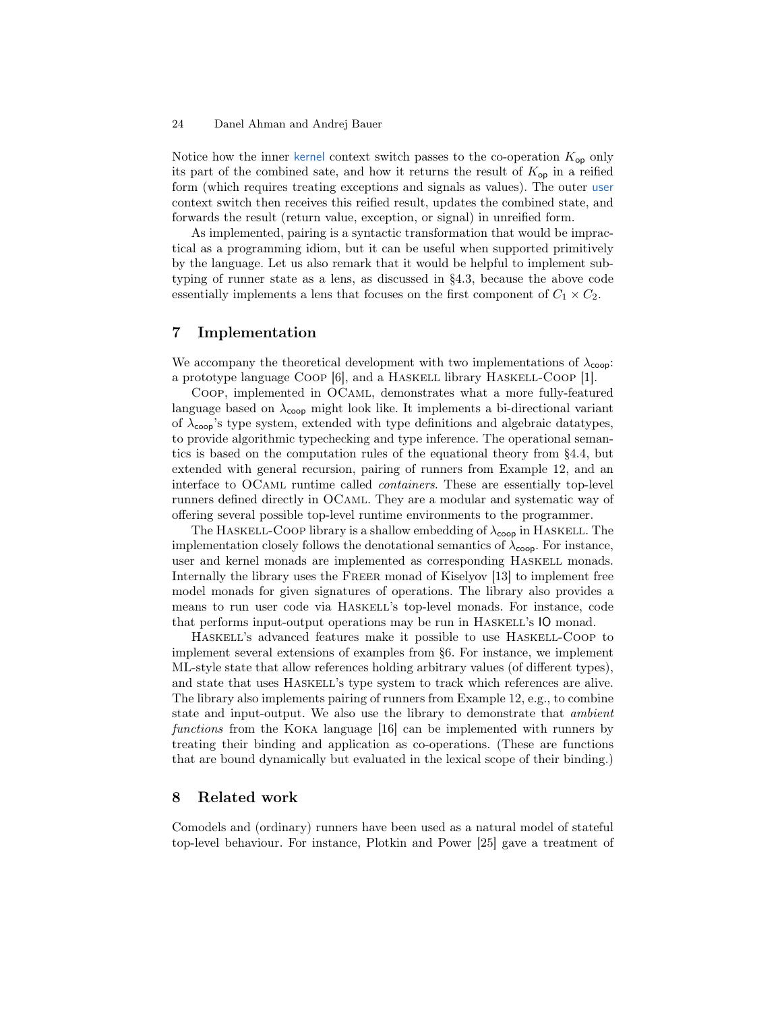Notice how the inner kernel context switch passes to the co-operation  $K_{op}$  only its part of the combined sate, and how it returns the result of  $K_{op}$  in a reified form (which requires treating exceptions and signals as values). The outer user context switch then receives this reified result, updates the combined state, and forwards the result (return value, exception, or signal) in unreified form.

As implemented, pairing is a syntactic transformation that would be impractical as a programming idiom, but it can be useful when supported primitively by the language. Let us also remark that it would be helpful to implement subtyping of runner state as a lens, as discussed in [§4.3,](#page-12-0) because the above code essentially implements a lens that focuses on the first component of  $C_1 \times C_2$ .

# <span id="page-23-0"></span>7 Implementation

We accompany the theoretical development with two implementations of  $\lambda_{\text{coop}}$ : a prototype language Coop [\[6\]](#page-25-10), and a Haskell library Haskell-Coop [\[1\]](#page-25-11).

Coop, implemented in OCaml, demonstrates what a more fully-featured language based on  $\lambda_{\text{coop}}$  might look like. It implements a bi-directional variant of  $\lambda_{\rm coop}$ 's type system, extended with type definitions and algebraic datatypes, to provide algorithmic typechecking and type inference. The operational semantics is based on the computation rules of the equational theory from [§4.4,](#page-14-0) but extended with general recursion, pairing of runners from [Example 12,](#page-22-0) and an interface to OCaml runtime called containers. These are essentially top-level runners defined directly in OCaml. They are a modular and systematic way of offering several possible top-level runtime environments to the programmer.

The HASKELL-COOP library is a shallow embedding of  $\lambda_{\text{coop}}$  in HASKELL. The implementation closely follows the denotational semantics of  $\lambda_{\text{coop}}$ . For instance, user and kernel monads are implemented as corresponding HASKELL monads. Internally the library uses the Freer monad of Kiselyov [\[13\]](#page-26-15) to implement free model monads for given signatures of operations. The library also provides a means to run user code via Haskell's top-level monads. For instance, code that performs input-output operations may be run in Haskell's IO monad.

Haskell's advanced features make it possible to use Haskell-Coop to implement several extensions of examples from [§6.](#page-20-0) For instance, we implement ML-style state that allow references holding arbitrary values (of different types), and state that uses Haskell's type system to track which references are alive. The library also implements pairing of runners from [Example 12,](#page-22-0) e.g., to combine state and input-output. We also use the library to demonstrate that ambient functions from the Koka language [\[16\]](#page-26-16) can be implemented with runners by treating their binding and application as co-operations. (These are functions that are bound dynamically but evaluated in the lexical scope of their binding.)

# <span id="page-23-1"></span>8 Related work

Comodels and (ordinary) runners have been used as a natural model of stateful top-level behaviour. For instance, Plotkin and Power [\[25\]](#page-26-5) gave a treatment of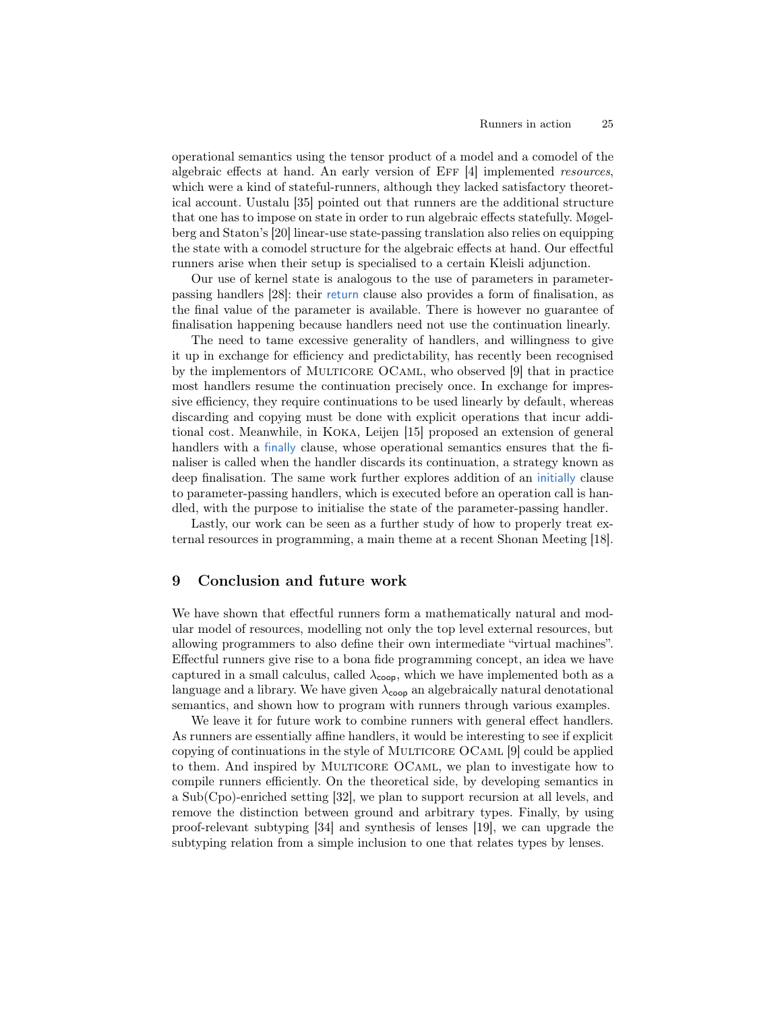operational semantics using the tensor product of a model and a comodel of the algebraic effects at hand. An early version of Eff [\[4\]](#page-25-1) implemented resources, which were a kind of stateful-runners, although they lacked satisfactory theoretical account. Uustalu [\[35\]](#page-27-1) pointed out that runners are the additional structure that one has to impose on state in order to run algebraic effects statefully. Møgelberg and Staton's [\[20\]](#page-26-7) linear-use state-passing translation also relies on equipping the state with a comodel structure for the algebraic effects at hand. Our effectful runners arise when their setup is specialised to a certain Kleisli adjunction.

Our use of kernel state is analogous to the use of parameters in parameterpassing handlers [\[28\]](#page-26-3): their return clause also provides a form of finalisation, as the final value of the parameter is available. There is however no guarantee of finalisation happening because handlers need not use the continuation linearly.

The need to tame excessive generality of handlers, and willingness to give it up in exchange for efficiency and predictability, has recently been recognised by the implementors of Multicore OCaml, who observed [\[9\]](#page-25-2) that in practice most handlers resume the continuation precisely once. In exchange for impressive efficiency, they require continuations to be used linearly by default, whereas discarding and copying must be done with explicit operations that incur additional cost. Meanwhile, in Koka, Leijen [\[15\]](#page-26-17) proposed an extension of general handlers with a finally clause, whose operational semantics ensures that the finaliser is called when the handler discards its continuation, a strategy known as deep finalisation. The same work further explores addition of an initially clause to parameter-passing handlers, which is executed before an operation call is handled, with the purpose to initialise the state of the parameter-passing handler.

Lastly, our work can be seen as a further study of how to properly treat external resources in programming, a main theme at a recent Shonan Meeting [\[18\]](#page-26-18).

# <span id="page-24-0"></span>9 Conclusion and future work

We have shown that effectful runners form a mathematically natural and modular model of resources, modelling not only the top level external resources, but allowing programmers to also define their own intermediate "virtual machines". Effectful runners give rise to a bona fide programming concept, an idea we have captured in a small calculus, called  $\lambda_{\text{coop}}$ , which we have implemented both as a language and a library. We have given  $\lambda_{\text{coop}}$  an algebraically natural denotational semantics, and shown how to program with runners through various examples.

We leave it for future work to combine runners with general effect handlers. As runners are essentially affine handlers, it would be interesting to see if explicit copying of continuations in the style of Multicore OCaml [\[9\]](#page-25-2) could be applied to them. And inspired by Multicore OCaml, we plan to investigate how to compile runners efficiently. On the theoretical side, by developing semantics in a  $Sub(Cpo)$ -enriched setting [\[32\]](#page-26-19), we plan to support recursion at all levels, and remove the distinction between ground and arbitrary types. Finally, by using proof-relevant subtyping [\[34\]](#page-26-20) and synthesis of lenses [\[19\]](#page-26-21), we can upgrade the subtyping relation from a simple inclusion to one that relates types by lenses.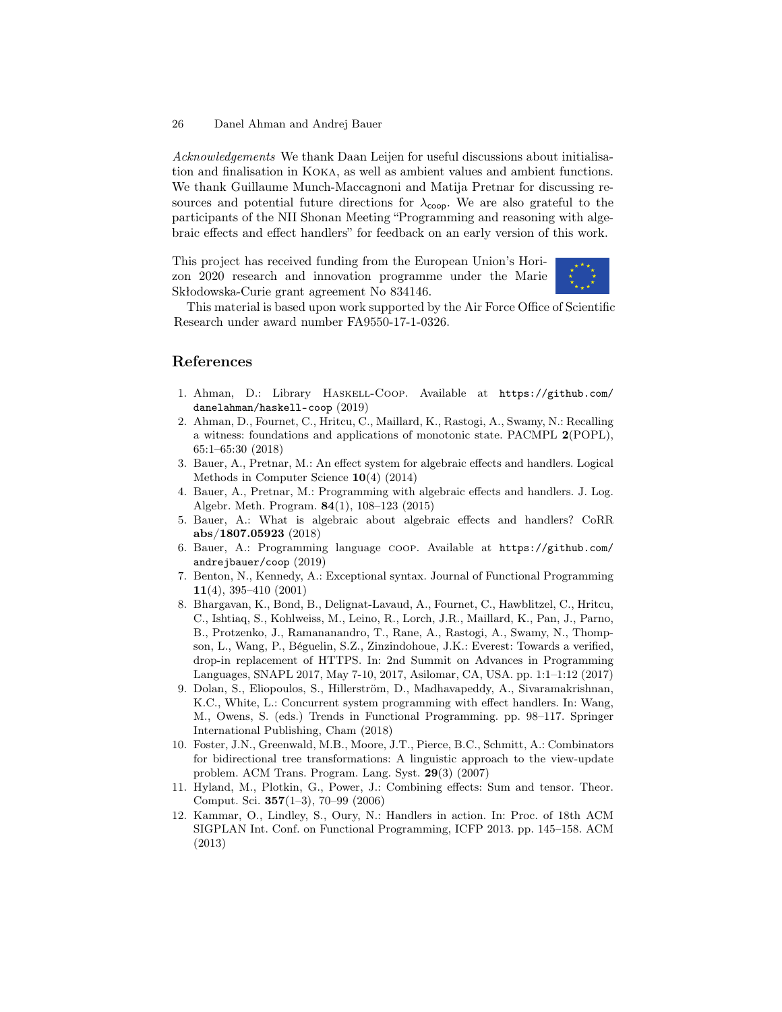Acknowledgements We thank Daan Leijen for useful discussions about initialisation and finalisation in Koka, as well as ambient values and ambient functions. We thank Guillaume Munch-Maccagnoni and Matija Pretnar for discussing resources and potential future directions for  $\lambda_{\text{coop}}$ . We are also grateful to the participants of the NII Shonan Meeting "Programming and reasoning with algebraic effects and effect handlers" for feedback on an early version of this work.

This project has received funding from the European Union's Horizon 2020 research and innovation programme under the Marie Skłodowska-Curie grant agreement No 834146.



This material is based upon work supported by the Air Force Office of Scientific Research under award number FA9550-17-1-0326.

# References

- <span id="page-25-11"></span>1. Ahman, D.: Library Haskell-Coop. Available at [https://github.com/](https://github.com/danelahman/haskell-coop) [danelahman/haskell-coop](https://github.com/danelahman/haskell-coop) (2019)
- <span id="page-25-9"></span>2. Ahman, D., Fournet, C., Hritcu, C., Maillard, K., Rastogi, A., Swamy, N.: Recalling a witness: foundations and applications of monotonic state. PACMPL 2(POPL), 65:1–65:30 (2018)
- <span id="page-25-6"></span>3. Bauer, A., Pretnar, M.: An effect system for algebraic effects and handlers. Logical Methods in Computer Science 10(4) (2014)
- <span id="page-25-1"></span>4. Bauer, A., Pretnar, M.: Programming with algebraic effects and handlers. J. Log. Algebr. Meth. Program. 84(1), 108–123 (2015)
- <span id="page-25-3"></span>5. Bauer, A.: What is algebraic about algebraic effects and handlers? CoRR abs/1807.05923 (2018)
- <span id="page-25-10"></span>6. Bauer, A.: Programming language coop. Available at [https://github.com/](https://github.com/andrejbauer/coop) [andrejbauer/coop](https://github.com/andrejbauer/coop) (2019)
- <span id="page-25-5"></span>7. Benton, N., Kennedy, A.: Exceptional syntax. Journal of Functional Programming 11(4), 395–410 (2001)
- <span id="page-25-8"></span>8. Bhargavan, K., Bond, B., Delignat-Lavaud, A., Fournet, C., Hawblitzel, C., Hritcu, C., Ishtiaq, S., Kohlweiss, M., Leino, R., Lorch, J.R., Maillard, K., Pan, J., Parno, B., Protzenko, J., Ramananandro, T., Rane, A., Rastogi, A., Swamy, N., Thompson, L., Wang, P., Béguelin, S.Z., Zinzindohoue, J.K.: Everest: Towards a verified, drop-in replacement of HTTPS. In: 2nd Summit on Advances in Programming Languages, SNAPL 2017, May 7-10, 2017, Asilomar, CA, USA. pp. 1:1–1:12 (2017)
- <span id="page-25-2"></span>9. Dolan, S., Eliopoulos, S., Hillerström, D., Madhavapeddy, A., Sivaramakrishnan, K.C., White, L.: Concurrent system programming with effect handlers. In: Wang, M., Owens, S. (eds.) Trends in Functional Programming. pp. 98–117. Springer International Publishing, Cham (2018)
- <span id="page-25-7"></span>10. Foster, J.N., Greenwald, M.B., Moore, J.T., Pierce, B.C., Schmitt, A.: Combinators for bidirectional tree transformations: A linguistic approach to the view-update problem. ACM Trans. Program. Lang. Syst. 29(3) (2007)
- <span id="page-25-4"></span>11. Hyland, M., Plotkin, G., Power, J.: Combining effects: Sum and tensor. Theor. Comput. Sci. 357(1–3), 70–99 (2006)
- <span id="page-25-0"></span>12. Kammar, O., Lindley, S., Oury, N.: Handlers in action. In: Proc. of 18th ACM SIGPLAN Int. Conf. on Functional Programming, ICFP 2013. pp. 145–158. ACM (2013)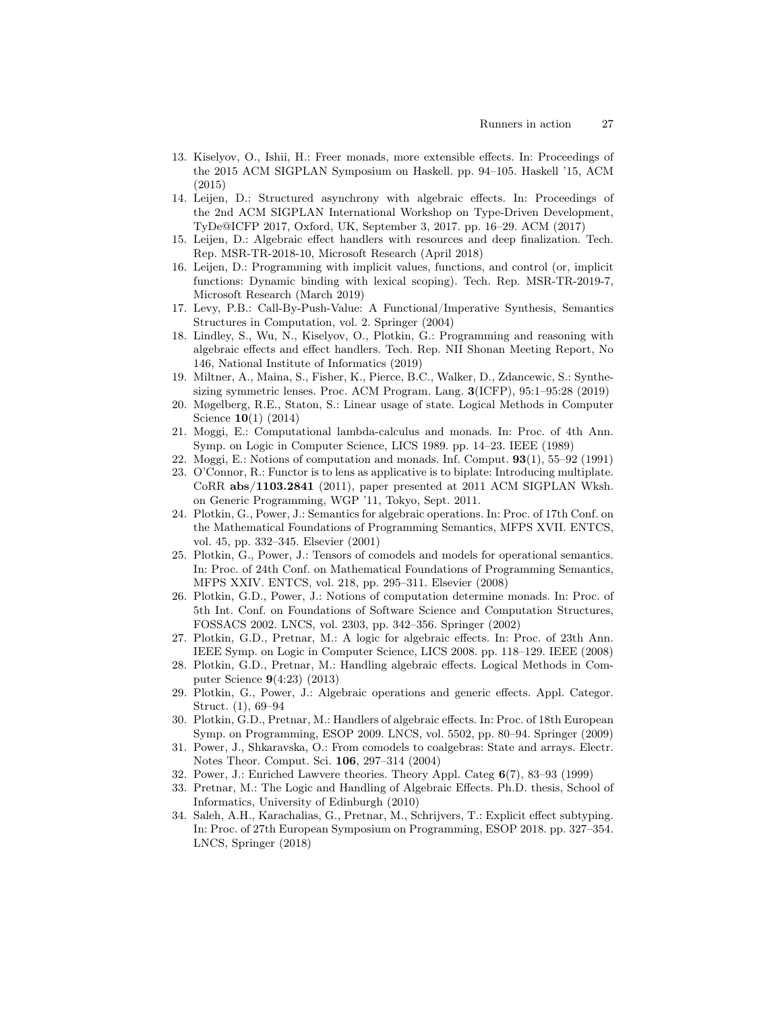- <span id="page-26-15"></span>13. Kiselyov, O., Ishii, H.: Freer monads, more extensible effects. In: Proceedings of the 2015 ACM SIGPLAN Symposium on Haskell. pp. 94–105. Haskell '15, ACM (2015)
- <span id="page-26-4"></span>14. Leijen, D.: Structured asynchrony with algebraic effects. In: Proceedings of the 2nd ACM SIGPLAN International Workshop on Type-Driven Development, TyDe@ICFP 2017, Oxford, UK, September 3, 2017. pp. 16–29. ACM (2017)
- <span id="page-26-17"></span>15. Leijen, D.: Algebraic effect handlers with resources and deep finalization. Tech. Rep. MSR-TR-2018-10, Microsoft Research (April 2018)
- <span id="page-26-16"></span>16. Leijen, D.: Programming with implicit values, functions, and control (or, implicit functions: Dynamic binding with lexical scoping). Tech. Rep. MSR-TR-2019-7, Microsoft Research (March 2019)
- <span id="page-26-11"></span>17. Levy, P.B.: Call-By-Push-Value: A Functional/Imperative Synthesis, Semantics Structures in Computation, vol. 2. Springer (2004)
- <span id="page-26-18"></span>18. Lindley, S., Wu, N., Kiselyov, O., Plotkin, G.: Programming and reasoning with algebraic effects and effect handlers. Tech. Rep. NII Shonan Meeting Report, No 146, National Institute of Informatics (2019)
- <span id="page-26-21"></span>19. Miltner, A., Maina, S., Fisher, K., Pierce, B.C., Walker, D., Zdancewic, S.: Synthesizing symmetric lenses. Proc. ACM Program. Lang. 3(ICFP), 95:1–95:28 (2019)
- <span id="page-26-7"></span>20. Møgelberg, R.E., Staton, S.: Linear usage of state. Logical Methods in Computer Science 10(1) (2014)
- <span id="page-26-0"></span>21. Moggi, E.: Computational lambda-calculus and monads. In: Proc. of 4th Ann. Symp. on Logic in Computer Science, LICS 1989. pp. 14–23. IEEE (1989)
- <span id="page-26-1"></span>22. Moggi, E.: Notions of computation and monads. Inf. Comput. 93(1), 55–92 (1991)
- <span id="page-26-12"></span>23. O'Connor, R.: Functor is to lens as applicative is to biplate: Introducing multiplate. CoRR abs/1103.2841 (2011), paper presented at 2011 ACM SIGPLAN Wksh. on Generic Programming, WGP '11, Tokyo, Sept. 2011.
- <span id="page-26-8"></span>24. Plotkin, G., Power, J.: Semantics for algebraic operations. In: Proc. of 17th Conf. on the Mathematical Foundations of Programming Semantics, MFPS XVII. ENTCS, vol. 45, pp. 332–345. Elsevier (2001)
- <span id="page-26-5"></span>25. Plotkin, G., Power, J.: Tensors of comodels and models for operational semantics. In: Proc. of 24th Conf. on Mathematical Foundations of Programming Semantics, MFPS XXIV. ENTCS, vol. 218, pp. 295–311. Elsevier (2008)
- <span id="page-26-2"></span>26. Plotkin, G.D., Power, J.: Notions of computation determine monads. In: Proc. of 5th Int. Conf. on Foundations of Software Science and Computation Structures, FOSSACS 2002. LNCS, vol. 2303, pp. 342–356. Springer (2002)
- <span id="page-26-14"></span>27. Plotkin, G.D., Pretnar, M.: A logic for algebraic effects. In: Proc. of 23th Ann. IEEE Symp. on Logic in Computer Science, LICS 2008. pp. 118–129. IEEE (2008)
- <span id="page-26-3"></span>28. Plotkin, G.D., Pretnar, M.: Handling algebraic effects. Logical Methods in Computer Science 9(4:23) (2013)
- <span id="page-26-10"></span>29. Plotkin, G., Power, J.: Algebraic operations and generic effects. Appl. Categor. Struct. (1), 69–94
- <span id="page-26-9"></span>30. Plotkin, G.D., Pretnar, M.: Handlers of algebraic effects. In: Proc. of 18th European Symp. on Programming, ESOP 2009. LNCS, vol. 5502, pp. 80–94. Springer (2009)
- <span id="page-26-6"></span>31. Power, J., Shkaravska, O.: From comodels to coalgebras: State and arrays. Electr. Notes Theor. Comput. Sci. 106, 297–314 (2004)
- <span id="page-26-19"></span>32. Power, J.: Enriched Lawvere theories. Theory Appl. Categ 6(7), 83–93 (1999)
- <span id="page-26-13"></span>33. Pretnar, M.: The Logic and Handling of Algebraic Effects. Ph.D. thesis, School of Informatics, University of Edinburgh (2010)
- <span id="page-26-20"></span>34. Saleh, A.H., Karachalias, G., Pretnar, M., Schrijvers, T.: Explicit effect subtyping. In: Proc. of 27th European Symposium on Programming, ESOP 2018. pp. 327–354. LNCS, Springer (2018)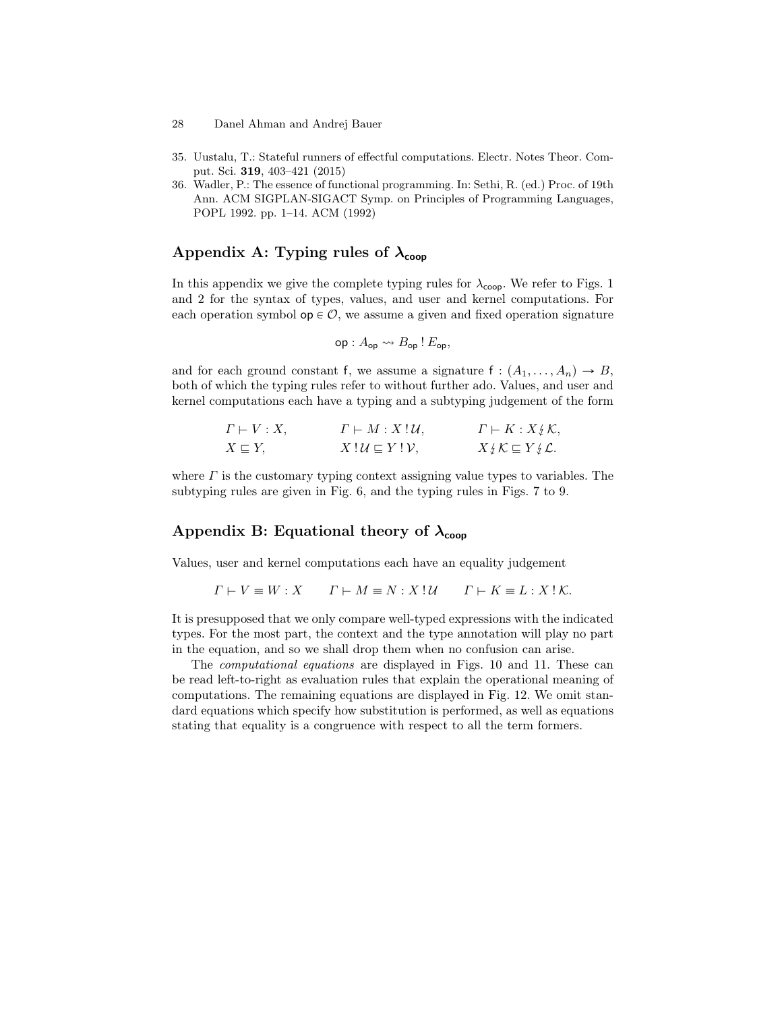- 28 Danel Ahman and Andrej Bauer
- <span id="page-27-1"></span>35. Uustalu, T.: Stateful runners of effectful computations. Electr. Notes Theor. Comput. Sci. 319, 403–421 (2015)
- <span id="page-27-0"></span>36. Wadler, P.: The essence of functional programming. In: Sethi, R. (ed.) Proc. of 19th Ann. ACM SIGPLAN-SIGACT Symp. on Principles of Programming Languages, POPL 1992. pp. 1–14. ACM (1992)

# <span id="page-27-2"></span>Appendix A: Typing rules of  $\lambda_{\rm coon}$

In this appendix we give the complete typing rules for  $\lambda_{\text{coop}}$ . We refer to [Figs. 1](#page-10-0) and [2](#page-11-0) for the syntax of types, values, and user and kernel computations. For each operation symbol  $op \in \mathcal{O}$ , we assume a given and fixed operation signature

$$
\text{op}: A_{\text{op}} \leadsto B_{\text{op}}: E_{\text{op}},
$$

and for each ground constant f, we assume a signature  $f : (A_1, \ldots, A_n) \to B$ , both of which the typing rules refer to without further ado. Values, and user and kernel computations each have a typing and a subtyping judgement of the form

$$
T \vdash V : X, \qquad T \vdash M : X ! U, \qquad T \vdash K : X \{ K, X \subseteq Y, \qquad X ! U \subseteq Y ! V, \qquad X \{ K \subseteq Y \{ L. \}
$$

where  $\Gamma$  is the customary typing context assigning value types to variables. The subtyping rules are given in [Fig. 6,](#page-28-0) and the typing rules in [Figs. 7](#page-28-1) to [9.](#page-30-0)

# <span id="page-27-3"></span>Appendix B: Equational theory of  $\lambda_{\text{coop}}$

Values, user and kernel computations each have an equality judgement

$$
\Gamma \vdash V \equiv W : X \qquad \Gamma \vdash M \equiv N : X ! U \qquad \Gamma \vdash K \equiv L : X ! K.
$$

It is presupposed that we only compare well-typed expressions with the indicated types. For the most part, the context and the type annotation will play no part in the equation, and so we shall drop them when no confusion can arise.

The computational equations are displayed in [Figs. 10](#page-31-0) and [11.](#page-32-0) These can be read left-to-right as evaluation rules that explain the operational meaning of computations. The remaining equations are displayed in [Fig. 12.](#page-32-1) We omit standard equations which specify how substitution is performed, as well as equations stating that equality is a congruence with respect to all the term formers.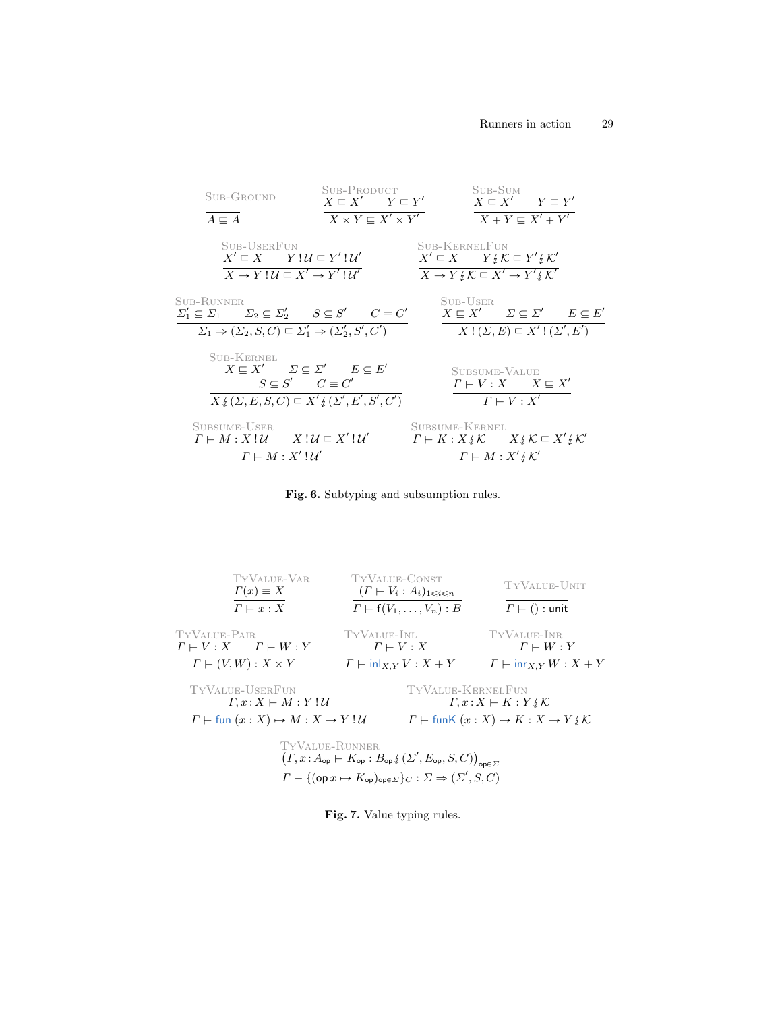| <b>SUB-GROUND</b><br>$A \sqsubseteq A$                                                                                                                                                                      | SUB-PRODUCT<br>$X \sqsubseteq X'$ $Y \sqsubseteq Y'$<br>$X \times Y \subseteq X' \times Y'$                                                                            | SUB-SUM                                                                                                                                                                      | $X \sqsubseteq X'$ $Y \sqsubseteq Y'$<br>$X + Y \subseteq X' + Y'$                                              |
|-------------------------------------------------------------------------------------------------------------------------------------------------------------------------------------------------------------|------------------------------------------------------------------------------------------------------------------------------------------------------------------------|------------------------------------------------------------------------------------------------------------------------------------------------------------------------------|-----------------------------------------------------------------------------------------------------------------|
| <b>SUB-USERFUN</b><br>$X' \sqsubseteq X \qquad Y \, ! \, \mathcal{U} \sqsubseteq Y' \, ! \, \mathcal{U}'$<br>$X \to Y!U \sqsubseteq X' \to Y'!U'$                                                           |                                                                                                                                                                        | <b>SUB-KERNELFUN</b><br>$X' \sqsubseteq X$ $Y \nless \mathcal{K} \sqsubseteq Y' \nless \mathcal{K}'$<br>$X \to Y \nmid \mathcal{K} \sqsubseteq X' \to Y' \nmid \mathcal{K}'$ |                                                                                                                 |
| SUB-RUNNER<br>$\Sigma'_1 \subseteq \Sigma_1$ $\Sigma_2 \subseteq \Sigma'_2$ $S \subseteq S'$ $C \equiv C'$<br>$\Sigma_1 \Rightarrow (\Sigma_2, S, C) \sqsubseteq \Sigma'_1 \Rightarrow (\Sigma'_2, S', C')$ |                                                                                                                                                                        | SUB-USER                                                                                                                                                                     | $X \subseteq X'$ $\Sigma \subseteq \Sigma'$ $E \subseteq E'$<br>$X'$ $(\Sigma, E) \subseteq X'$ $(\Sigma', E')$ |
| <b>SUB-KERNEL</b>                                                                                                                                                                                           | $X \subseteq X'$ $\Sigma \subseteq \Sigma'$ $E \subseteq E'$<br>$S \subseteq S'$ $C \equiv C'$<br>$X \nleq (\Sigma, E, S, C) \subseteq X' \nleq (\Sigma', E', S', C')$ | <b>SUBSUME-VALUE</b><br>$\Gamma \vdash V : X \qquad X \sqsubseteq X'$<br>$\Gamma \vdash V : \overline{X'}$                                                                   |                                                                                                                 |
| SUBSUME-USER<br>$\Gamma \vdash M : X ! U \qquad X ! U \sqsubseteq X' ! U'$<br>$\Gamma \vdash M : X' ! U'$                                                                                                   |                                                                                                                                                                        | SUBSUME-KERNEL<br>$\Gamma \vdash K : X \nleq \mathcal{K}$ $X \nleq \mathcal{K} \subseteq X' \nleq \mathcal{K}'$<br>$\Gamma \vdash M : X' \frac{1}{2} \mathcal{K}'$           |                                                                                                                 |

<span id="page-28-0"></span>



<span id="page-28-1"></span>Fig. 7. Value typing rules.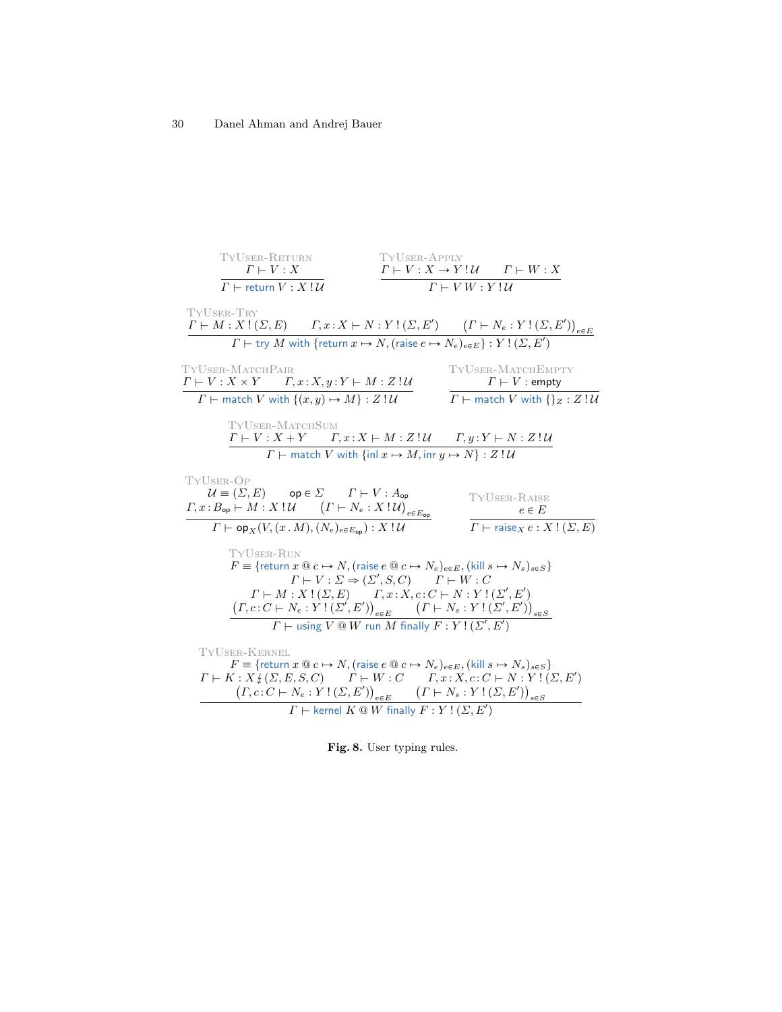TYUSER-RETURN  
\nF+V:X  
\nF+ return V: X!U  
\nF+ return V: X!U  
\nT+ V: X → Y!U  
\nT+ V: Y!U  
\nT+ W: Y!U  
\nT+ W: X! (Z, E) 
$$
\Gamma, x: X \vdash N: Y! (Z, E') (T \vdash N_e : Y! (Z, E'))_{e \in E}
$$
  
\nT+ V: X × Y  $\Gamma, x: X, y: Y \vdash M: Z!U$   
\nT+  $\forall X: X Y \vdash T, x: X, y: Y \vdash M: Z!U$   
\nT+  $\forall X: Y \vdash T, x: X, y: Y \vdash M: Z!U$   
\nT+  $\forall X: Y \vdash T, x: X, y: Y \vdash M: Z!U$   
\nT+  $\forall X: Y \vdash T, x: X \vdash M: Z!U$   
\nT+  $\forall X: Y \vdash T, x: X \vdash M: Z!U$   
\nT+  $\forall X: Y \vdash T, x: X \vdash M: Z!U$   
\nT+  $\forall X: Y \vdash T, x: X \vdash M: Z!U$   
\nT+  $\forall X: Y \vdash T, X: Y \vdash M: Z!U$   
\nT+  $\forall X: Y \vdash T, X: Y \vdash M: Y \vdash Y: Y \vdash T$   
\nT+  $\forall X: Y \vdash T$   
\nT+  $\forall X: Y \vdash T$   
\nT+  $\forall X: Y \vdash T$   
\nT+  $\forall X: Y \vdash T$   
\nT+  $\forall X: Y \vdash T$   
\nT+  $\forall X: Y \vdash T$   
\nT+  $\forall X: Y \vdash T$   
\nT+  $\forall X: Y \vdash T$   
\nT+  $\forall X: Y \vdash T$   
\nT+  $\forall X: Y \vdash T$   
\nT+  $\forall X: Y \vdash T$   
\nT+  $\forall X: Y \vdash T$   
\nT+  $\forall X: Y \vdash T$   
\nT+  $\forall X: Y \vdash T$   
\nT+  $\forall X: Y \vdash T$   
\nT+  $\forall X: Y \vdash T$   
\

 $\frac{P(S; P \cup (Z, E))_{e \in E} (P \cup Y_{s \in S})}{\Gamma + \text{ker}(\{K \otimes W \text{ finally } F : Y \mid (\Sigma, E'))_{s \in S}}$ 

 $e \in E$ 

Fig. 8. User typing rules.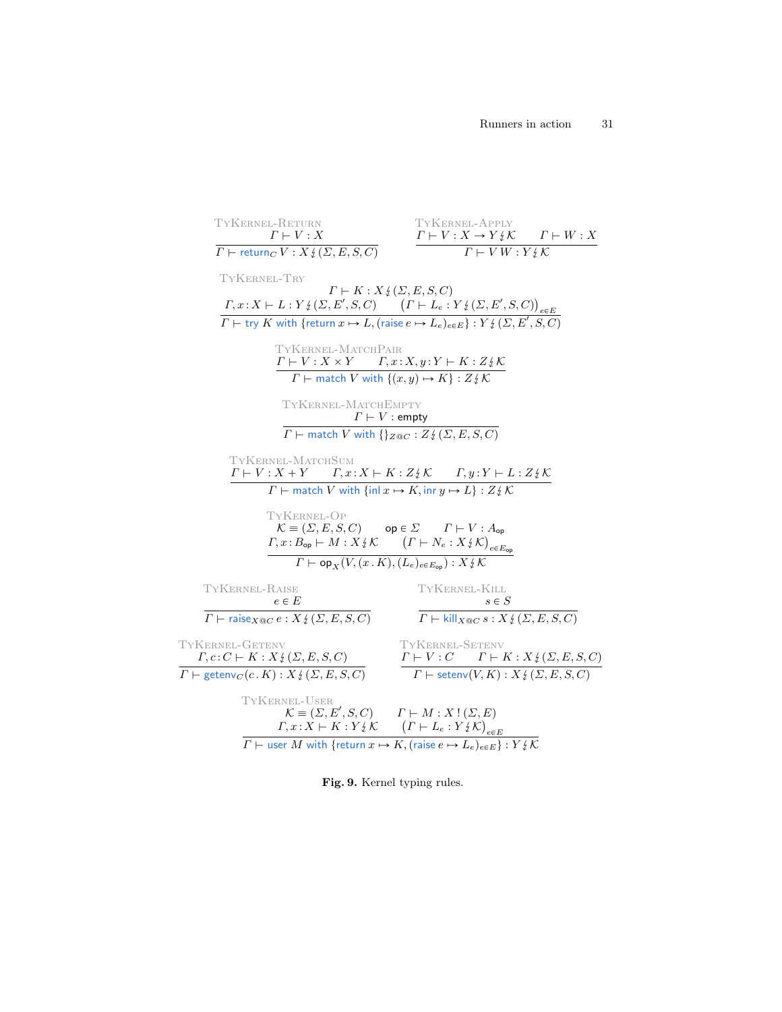

<span id="page-30-0"></span>Fig. 9. Kernel typing rules.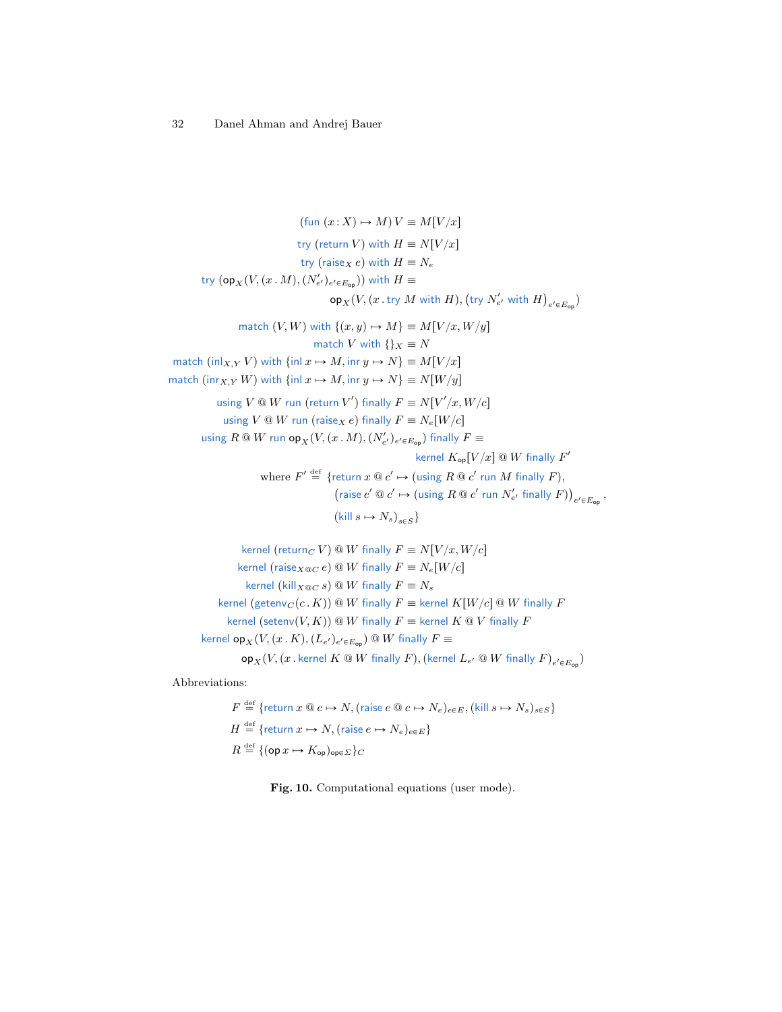$(\text{fun } (x : X) \mapsto M) V \equiv M[V/x]$ try (return V) with  $H \equiv N[V/x]$ try (raise x e) with  $H \equiv N_e$ try  $(\mathsf{op}_X(V,(x\, .\, M),(N'_{e'})_{e'\in E_{\mathsf{op}}}))$  with  $H$   $\equiv$ ор $_X(V,(x\ldotp \operatorname{try} \, M \text{ with } H),$ try  $N'_{e'}$  with  $H$  $_{e'\in E_\text{op}})$ match  $(V, W)$  with  $\{(x, y) \mapsto M\} \equiv M[V/x, W/y]$ match V with  $\{x \equiv N\}$ match (inl<sub>X,Y</sub> V) with {inl  $x \mapsto M$ , inr  $y \mapsto N$ }  $\equiv M[V/x]$ match (inr<sub>X,Y</sub> W) with {inl  $x \mapsto M$ , inr  $y \mapsto N$ }  $\equiv N[W/y]$ using  $V \t\t\t@ W$  run (return  $V')$  finally  $F \equiv N[V'/x,W/c]$ using  $V \t W$  run (raise<sub>X</sub> e) finally  $F \equiv N_e[W/c]$ using  $R \t\t\t@ W$  run op $_X(V, (x\, . \, M), (N'_{e'})_{e' \in E_{\text{op}}})$  finally  $F$   $\equiv$ kernel  $K_{\mathsf{op}}[V/x]\t\t\t@W$  finally  $F'$ where  $F' \stackrel{\text{def}}{=} \{$  return  $x \text{ @ } c' \mapsto (\text{using } R \text{ @ } c' \text{ run } M \text{ finally } F),$ raise  $e' \t\t@ c' \mapsto (\mathsf{using}\; R \t\t@ c' \mathsf{run}\; N'_{e'} \mathsf{finally}\; F)$  $e' \in E_{\text{op}}$ ,  $(\text{kill } s \mapsto N_s)_{s \in S}$ kernel (return $_C V$ )  $\circledcirc W$  finally  $F \equiv N[V/x, W/c]$ kernel (raise $_{X \otimes C} e$ )  $\circledcirc W$  finally  $F \equiv N_e[W/c]$ kernel (kill $X@C$  s)  $@$  W finally  $F \equiv N_s$ kernel (getenv $C(c K)$ ) @ W finally  $F \equiv$  kernel  $K[W/c]$  @ W finally F kernel (setenv $(V, K)$ ) @ W finally  $F \equiv$  kernel  $K \otimes V$  finally  $F$ kernel op $_X(V,(x$  .  $K),(L_{e'})_{e'\in E_{\mathsf{op}}})\t\t\t\t@W$  finally  $F$   $\equiv$ 

ор $_X(V,(x$  . kernel  $K \t\t\t@ W$  finally  $F),$  (kernel  $L_{e'} \t\t\t\t@ W$  finally  $F)_{e' \in E_{\mathsf{op}}})$ 

Abbreviations:

$$
F \stackrel{\text{def}}{=} \{ \text{return } x \circledcirc c \mapsto N, (\text{raise } e \circledcirc c \mapsto N_e)_{e \in E}, (\text{kill } s \mapsto N_s)_{s \in S} \}
$$
  

$$
H \stackrel{\text{def}}{=} \{ \text{return } x \mapsto N, (\text{raise } e \mapsto N_e)_{e \in E} \}
$$
  

$$
R \stackrel{\text{def}}{=} \{ (\text{op } x \mapsto K_{\text{op}})_{\text{op}} \in \Sigma \} C
$$

<span id="page-31-0"></span>Fig. 10. Computational equations (user mode).